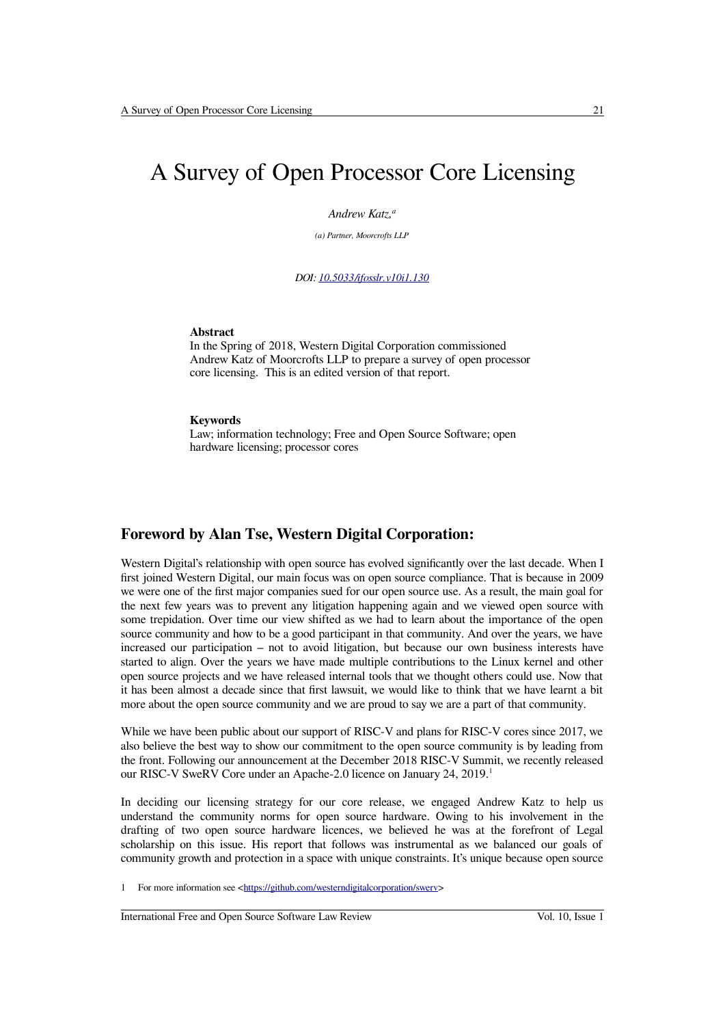# A Survey of Open Processor Core Licensing

*Andrew Katz,<sup>a</sup>*

*(a) Partner, Moorcrofts LLP*

*DOI: [10.5033/ifosslr.v10i1.1 30](http://dx.doi.org/10.5033/ifosslr.v10i1.130)*

#### **Abstract**

In the Spring of 2018, Western Digital Corporation commissioned Andrew Katz of Moorcrofts LLP to prepare a survey of open processor core licensing. This is an edited version of that report.

#### **Keywords**

Law; information technology; Free and Open Source Software; open hardware licensing; processor cores

### **Foreword by Alan Tse, Western Digital Corporation:**

Western Digital's relationship with open source has evolved significantly over the last decade. When I first joined Western Digital, our main focus was on open source compliance. That is because in 2009 we were one of the first major companies sued for our open source use. As a result, the main goal for the next few years was to prevent any litigation happening again and we viewed open source with some trepidation. Over time our view shifted as we had to learn about the importance of the open source community and how to be a good participant in that community. And over the years, we have increased our participation – not to avoid litigation, but because our own business interests have started to align. Over the years we have made multiple contributions to the Linux kernel and other open source projects and we have released internal tools that we thought others could use. Now that it has been almost a decade since that first lawsuit, we would like to think that we have learnt a bit more about the open source community and we are proud to say we are a part of that community.

While we have been public about our support of RISC-V and plans for RISC-V cores since 2017, we also believe the best way to show our commitment to the open source community is by leading from the front. Following our announcement at the December 2018 RISC-V Summit, we recently released our RISC-V SweRV Core under an Apache-2.0 licence on January 24, 20[1](#page-0-0)9.<sup>1</sup>

In deciding our licensing strategy for our core release, we engaged Andrew Katz to help us understand the community norms for open source hardware. Owing to his involvement in the drafting of two open source hardware licences, we believed he was at the forefront of Legal scholarship on this issue. His report that follows was instrumental as we balanced our goals of community growth and protection in a space with unique constraints. It's unique because open source

<span id="page-0-0"></span>1 For more information see [<https://github.com/westerndigitalcorporation/swerv>](https://github.com/westerndigitalcorporation/swerv)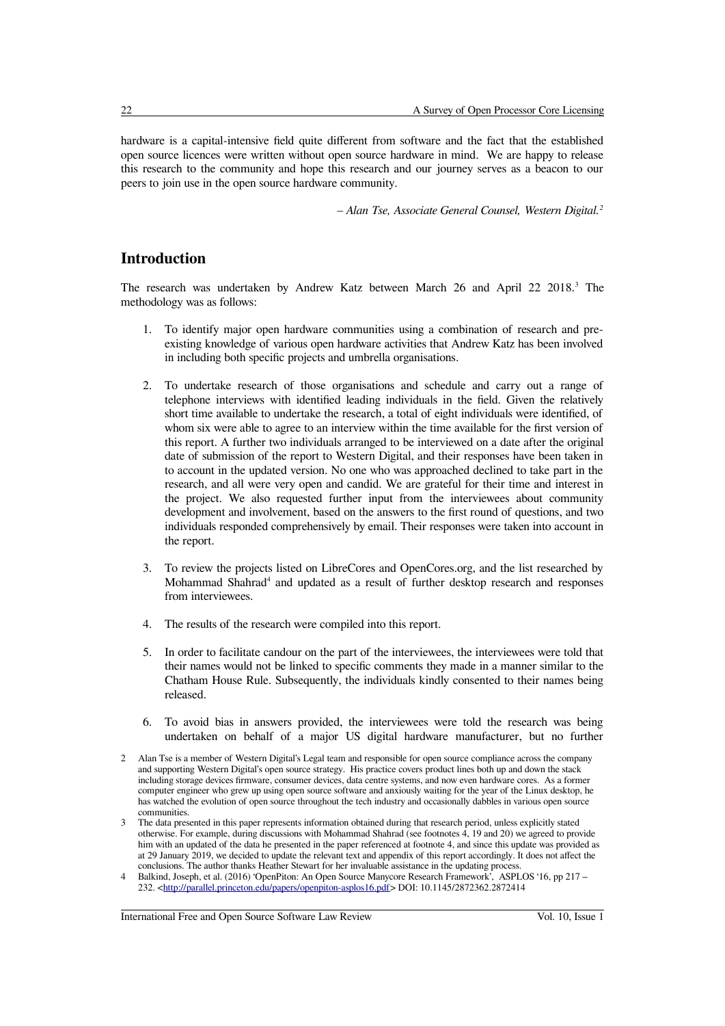hardware is a capital-intensive field quite different from software and the fact that the established open source licences were written without open source hardware in mind. We are happy to release this research to the community and hope this research and our journey serves as a beacon to our peers to join use in the open source hardware community.

*– Alan Tse, Associate General Counsel, Western Digital.[2](#page-1-0)*

## **Introduction**

The research was undertaken by Andrew Katz between March 26 and April 22 2018.[3](#page-1-1) The methodology was as follows:

- 1. To identify major open hardware communities using a combination of research and preexisting knowledge of various open hardware activities that Andrew Katz has been involved in including both specific projects and umbrella organisations.
- 2. To undertake research of those organisations and schedule and carry out a range of telephone interviews with identified leading individuals in the field. Given the relatively short time available to undertake the research, a total of eight individuals were identified, of whom six were able to agree to an interview within the time available for the first version of this report. A further two individuals arranged to be interviewed on a date after the original date of submission of the report to Western Digital, and their responses have been taken in to account in the updated version. No one who was approached declined to take part in the research, and all were very open and candid. We are grateful for their time and interest in the project. We also requested further input from the interviewees about community development and involvement, based on the answers to the first round of questions, and two individuals responded comprehensively by email. Their responses were taken into account in the report.
- 3. To review the projects listed on LibreCores and OpenCores.org, and the list researched by Mohammad Shahrad<sup>[4](#page-1-2)</sup> and updated as a result of further desktop research and responses from interviewees.
- 4. The results of the research were compiled into this report.
- 5. In order to facilitate candour on the part of the interviewees, the interviewees were told that their names would not be linked to specific comments they made in a manner similar to the Chatham House Rule. Subsequently, the individuals kindly consented to their names being released.
- 6. To avoid bias in answers provided, the interviewees were told the research was being undertaken on behalf of a major US digital hardware manufacturer, but no further

- <span id="page-1-1"></span>3 The data presented in this paper represents information obtained during that research period, unless explicitly stated otherwise. For example, during discussions with Mohammad Shahrad (see footnotes 4, 19 and 20) we agreed to provide him with an updated of the data he presented in the paper referenced at footnote 4, and since this update was provided as at 29 January 2019, we decided to update the relevant text and appendix of this report accordingly. It does not affect the conclusions. The author thanks Heather Stewart for her invaluable assistance in the updating process.
- <span id="page-1-2"></span>4 Balkind, Joseph, et al. (2016) 'OpenPiton: An Open Source Manycore Research Framework', ASPLOS '16, pp 217 – 232. [<http://parallel.princeton.edu/papers/openpiton-asplos16.pdf>](http://parallel.princeton.edu/papers/openpiton-asplos16.pdf) DOI: 10.1145/2872362.2872414

<span id="page-1-0"></span><sup>2</sup> Alan Tse is a member of Western Digital's Legal team and responsible for open source compliance across the company and supporting Western Digital's open source strategy. His practice covers product lines both up and down the stack including storage devices firmware, consumer devices, data centre systems, and now even hardware cores. As a former computer engineer who grew up using open source software and anxiously waiting for the year of the Linux desktop, he has watched the evolution of open source throughout the tech industry and occasionally dabbles in various open source communities.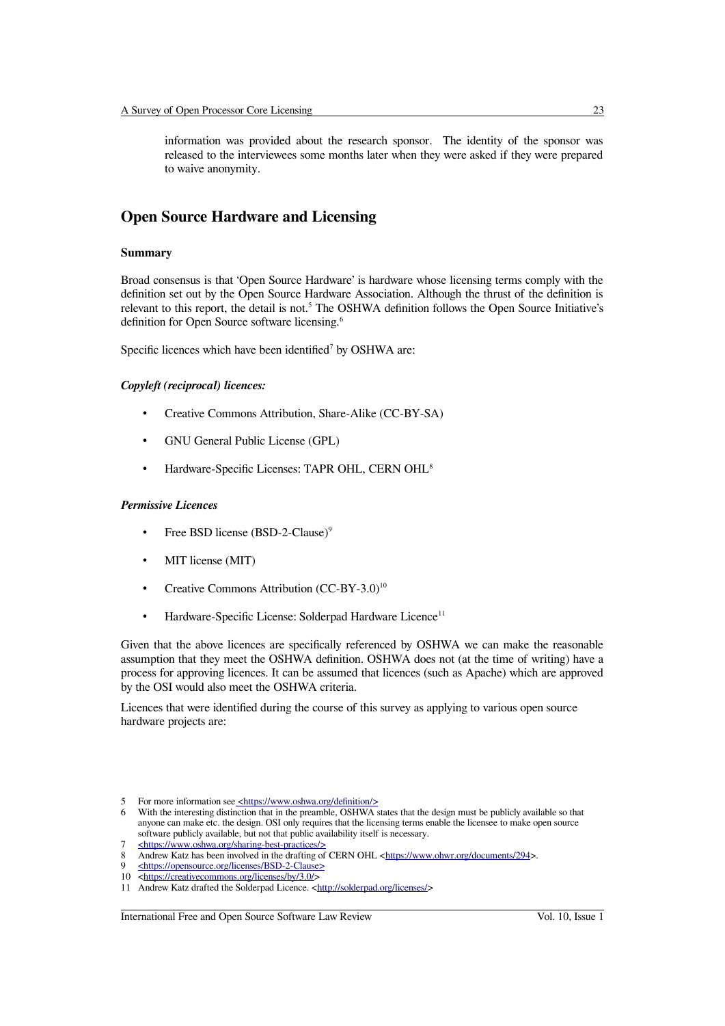information was provided about the research sponsor. The identity of the sponsor was released to the interviewees some months later when they were asked if they were prepared to waive anonymity.

## **Open Source Hardware and Licensing**

#### **Summary**

Broad consensus is that 'Open Source Hardware' is hardware whose licensing terms comply with the definition set out by the Open Source Hardware Association. Although the thrust of the definition is relevant to this report, the detail is not.<sup>[5](#page-2-0)</sup> The OSHWA definition follows the Open Source Initiative's definition for Open Source software licensing.[6](#page-2-1)

Specific licences which have been identified<sup>[7](#page-2-2)</sup> by OSHWA are:

#### *Copyleft (reciprocal) licences:*

- Creative Commons Attribution, Share-Alike (CC-BY-SA)
- GNU General Public License (GPL)
- Hardware-Specific Licenses: TAPR OHL, CERN OHL[8](#page-2-3)

#### *Permissive Licences*

- Free BSD license (BSD-2-Clause)<sup>[9](#page-2-4)</sup>
- MIT license (MIT)
- Creative Commons Attribution (CC-BY-3.0)<sup>[10](#page-2-5)</sup>
- Hardware-Specific License: Solderpad Hardware Licence<sup>[11](#page-2-6)</sup>

Given that the above licences are specifically referenced by OSHWA we can make the reasonable assumption that they meet the OSHWA definition. OSHWA does not (at the time of writing) have a process for approving licences. It can be assumed that licences (such as Apache) which are approved by the OSI would also meet the OSHWA criteria.

Licences that were identified during the course of this survey as applying to various open source hardware projects are:

<span id="page-2-0"></span><sup>5</sup> For more information see <https://www.oshwa.org/definition/>

<span id="page-2-1"></span><sup>6</sup> With the interesting distinction that in the preamble, OSHWA states that the design must be publicly available so that anyone can make etc. the design. OSI only requires that the licensing terms enable the licensee to make open source software publicly available, but not that public availability itself is necessary.

<span id="page-2-2"></span><sup>7 &</sup>lt;https://www.oshwa.org/sharing-best-practices/>

<span id="page-2-3"></span><sup>8</sup> Andrew Katz has been involved in the drafting of CERN OHL [<https://www.ohwr.org/documents/294>](https://www.ohwr.org/documents/294).

<span id="page-2-4"></span><sup>9</sup> [< https://opensource.org/licenses/BSD-2-Clause >](https://opensource.org/licenses/BSD-2-Clause)

<span id="page-2-5"></span><sup>10</sup> [<https://creativecommons.org/licenses/by/3.0/>](https://creativecommons.org/licenses/by/3.0/)

<span id="page-2-6"></span><sup>11</sup> Andrew Katz drafted the Solderpad Licence. [<http://solderpad.org/licenses/>](http://solderpad.org/licenses/)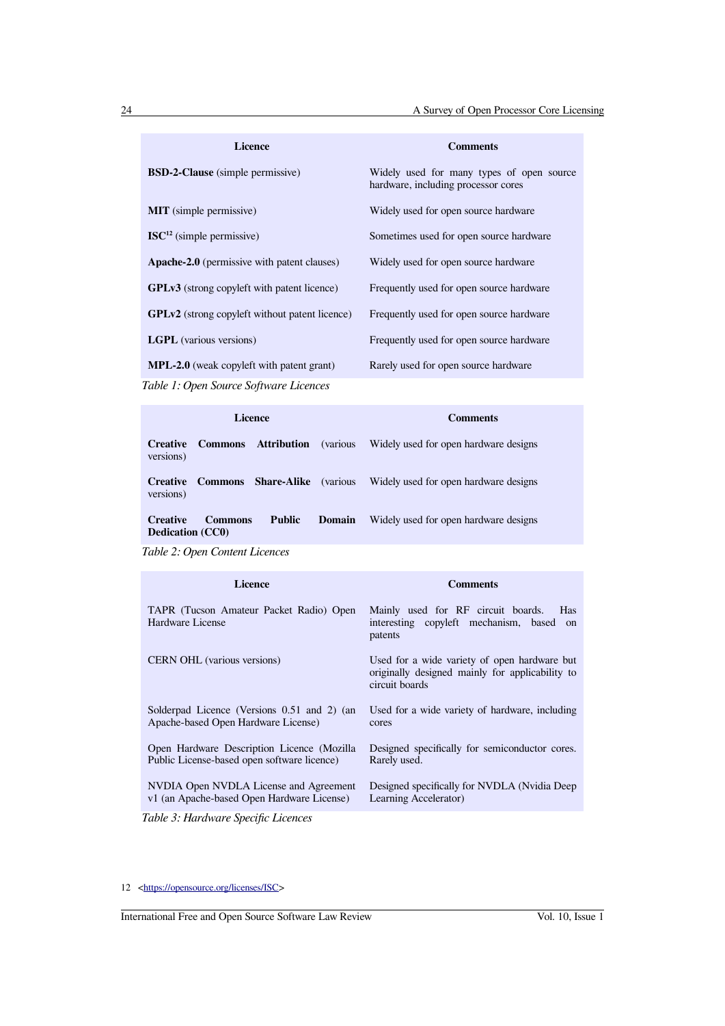| Licence                                               | <b>Comments</b>                                                                  |
|-------------------------------------------------------|----------------------------------------------------------------------------------|
| <b>BSD-2-Clause</b> (simple permissive)               | Widely used for many types of open source<br>hardware, including processor cores |
| <b>MIT</b> (simple permissive)                        | Widely used for open source hardware                                             |
| $\text{ISC}^{12}$ (simple permissive)                 | Sometimes used for open source hardware                                          |
| Apache-2.0 (permissive with patent clauses)           | Widely used for open source hardware                                             |
| <b>GPLv3</b> (strong copyleft with patent licence)    | Frequently used for open source hardware                                         |
| <b>GPLv2</b> (strong copyleft without patent licence) | Frequently used for open source hardware                                         |
| <b>LGPL</b> (various versions)                        | Frequently used for open source hardware                                         |
| <b>MPL-2.0</b> (weak copyleft with patent grant)      | Rarely used for open source hardware                                             |

*Table 1: Open Source Software Licences*

| <b>Licence</b>                             |                |                    | <b>Comments</b>  |                                       |
|--------------------------------------------|----------------|--------------------|------------------|---------------------------------------|
| <b>Creative</b><br>versions)               | <b>Commons</b> | Attribution        | <i>(various)</i> | Widely used for open hardware designs |
| <b>Creative</b><br>versions)               | <b>Commons</b> | <b>Share-Alike</b> | <i>(various)</i> | Widely used for open hardware designs |
| <b>Creative</b><br><b>Dedication</b> (CC0) | <b>Commons</b> | <b>Public</b>      | Domain           | Widely used for open hardware designs |

*Table 2: Open Content Licences*

| <b>Licence</b>                                              | <b>Comments</b>                                                                                                   |
|-------------------------------------------------------------|-------------------------------------------------------------------------------------------------------------------|
| TAPR (Tucson Amateur Packet Radio) Open<br>Hardware License | Mainly used for RF circuit boards.<br><b>Has</b><br>interesting copyleft mechanism, based<br>on<br>patents        |
| CERN OHL (various versions)                                 | Used for a wide variety of open hardware but<br>originally designed mainly for applicability to<br>circuit boards |
| Solderpad Licence (Versions 0.51 and 2) (an                 | Used for a wide variety of hardware, including                                                                    |
| Apache-based Open Hardware License)                         | cores                                                                                                             |
| Open Hardware Description Licence (Mozilla)                 | Designed specifically for semiconductor cores.                                                                    |
| Public License-based open software licence)                 | Rarely used.                                                                                                      |
| NVDIA Open NVDLA License and Agreement                      | Designed specifically for NVDLA (Nvidia Deep)                                                                     |
| v1 (an Apache-based Open Hardware License)                  | Learning Accelerator)                                                                                             |

*Table 3: Hardware Specific Licences*

<span id="page-3-0"></span>12 [<https://opensource.org/licenses/ISC>](https://opensource.org/licenses/ISC)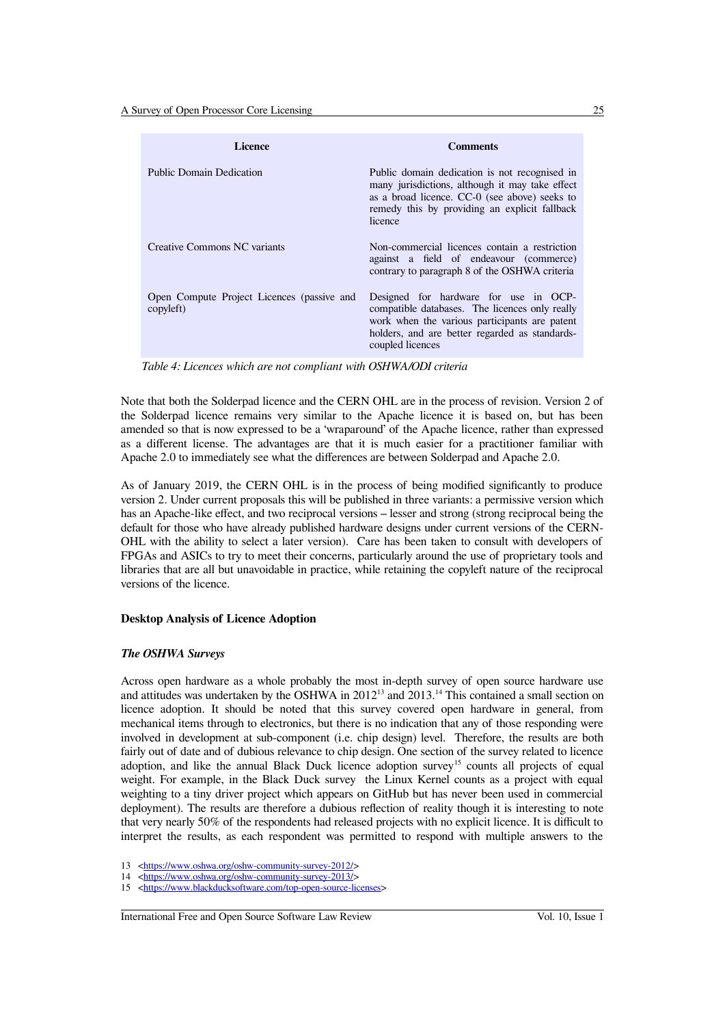| <b>Licence</b>                                          | <b>Comments</b>                                                                                                                                                                                                |
|---------------------------------------------------------|----------------------------------------------------------------------------------------------------------------------------------------------------------------------------------------------------------------|
| <b>Public Domain Dedication</b>                         | Public domain dedication is not recognised in<br>many jurisdictions, although it may take effect<br>as a broad licence. CC-0 (see above) seeks to<br>remedy this by providing an explicit fallback<br>licence  |
| Creative Commons NC variants                            | Non-commercial licences contain a restriction<br>against a field of endeavour (commerce)<br>contrary to paragraph 8 of the OSHWA criteria                                                                      |
| Open Compute Project Licences (passive and<br>copyleft) | Designed for hardware for use in OCP-<br>compatible databases. The licences only really<br>work when the various participants are patent<br>holders, and are better regarded as standards-<br>coupled licences |

*Table 4: Licences which are not compliant with OSHWA/ODI criteria*

Note that both the Solderpad licence and the CERN OHL are in the process of revision. Version 2 of the Solderpad licence remains very similar to the Apache licence it is based on, but has been amended so that is now expressed to be a 'wraparound' of the Apache licence, rather than expressed as a different license. The advantages are that it is much easier for a practitioner familiar with Apache 2.0 to immediately see what the differences are between Solderpad and Apache 2.0.

As of January 2019, the CERN OHL is in the process of being modified significantly to produce version 2. Under current proposals this will be published in three variants: a permissive version which has an Apache-like effect, and two reciprocal versions – lesser and strong (strong reciprocal being the default for those who have already published hardware designs under current versions of the CERN-OHL with the ability to select a later version). Care has been taken to consult with developers of FPGAs and ASICs to try to meet their concerns, particularly around the use of proprietary tools and libraries that are all but unavoidable in practice, while retaining the copyleft nature of the reciprocal versions of the licence.

#### **Desktop Analysis of Licence Adoption**

#### *The OSHWA Surveys*

Across open hardware as a whole probably the most in-depth survey of open source hardware use and attitudes was undertaken by the OSHWA in 2012<sup>[13](#page-4-0)</sup> and 2013.<sup>[14](#page-4-1)</sup> This contained a small section on licence adoption. It should be noted that this survey covered open hardware in general, from mechanical items through to electronics, but there is no indication that any of those responding were involved in development at sub-component (i.e. chip design) level. Therefore, the results are both fairly out of date and of dubious relevance to chip design. One section of the survey related to licence adoption, and like the annual Black Duck licence adoption survey<sup>[15](#page-4-2)</sup> counts all projects of equal weight. For example, in the Black Duck survey the Linux Kernel counts as a project with equal weighting to a tiny driver project which appears on GitHub but has never been used in commercial deployment). The results are therefore a dubious reflection of reality though it is interesting to note that very nearly 50% of the respondents had released projects with no explicit licence. It is difficult to interpret the results, as each respondent was permitted to respond with multiple answers to the

<span id="page-4-0"></span><sup>13</sup> [<https://www.oshwa.org/oshw-community-survey-2012/>](https://www.oshwa.org/oshw-community-survey-2012/)

<span id="page-4-1"></span><sup>14</sup> [<https://www.oshwa.org/oshw-community-survey-2013/>](https://www.oshwa.org/oshw-community-survey-2013/)

<span id="page-4-2"></span><sup>15</sup> [<https://www.blackducksoftware.com/top-open-source-licenses>](https://www.blackducksoftware.com/top-open-source-licenses)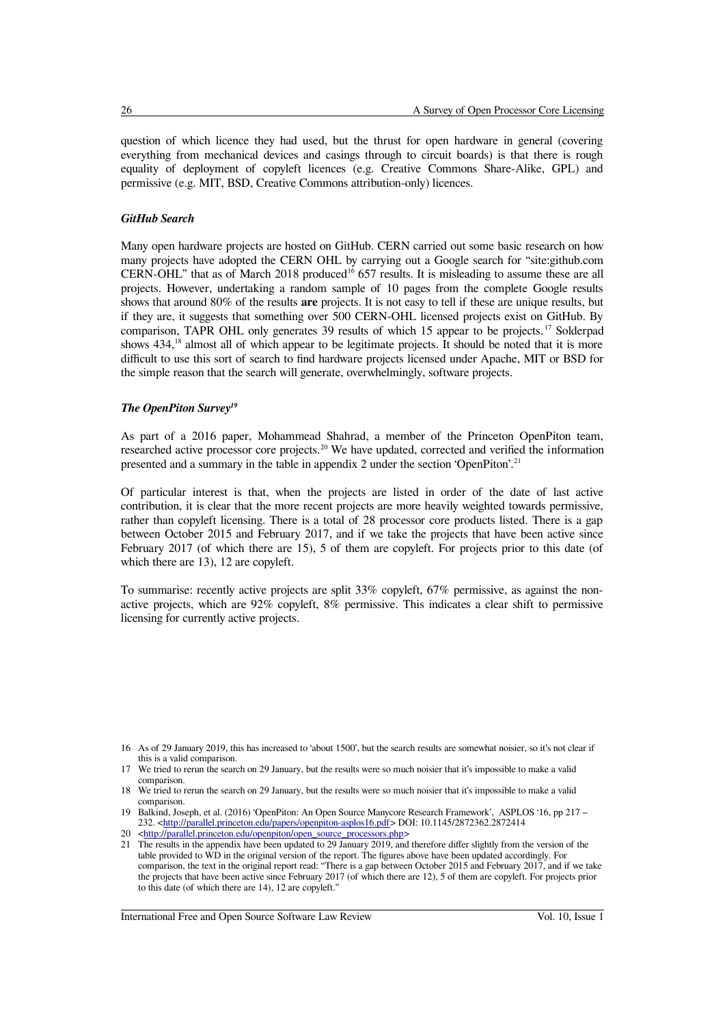question of which licence they had used, but the thrust for open hardware in general (covering everything from mechanical devices and casings through to circuit boards) is that there is rough equality of deployment of copyleft licences (e.g. Creative Commons Share-Alike, GPL) and permissive (e.g. MIT, BSD, Creative Commons attribution-only) licences.

#### *GitHub Search*

Many open hardware projects are hosted on GitHub. CERN carried out some basic research on how many projects have adopted the CERN OHL by carrying out a Google search for "site:github.com CERN-OHL" that as of March 2018 produced<sup>[16](#page-5-0)</sup> 657 results. It is misleading to assume these are all projects. However, undertaking a random sample of 10 pages from the complete Google results shows that around 80% of the results **are** projects. It is not easy to tell if these are unique results, but if they are, it suggests that something over 500 CERN-OHL licensed projects exist on GitHub. By comparison, TAPR OHL only generates 39 results of which 15 appear to be projects. [17](#page-5-1) Solderpad shows 434,<sup>[18](#page-5-2)</sup> almost all of which appear to be legitimate projects. It should be noted that it is more difficult to use this sort of search to find hardware projects licensed under Apache, MIT or BSD for the simple reason that the search will generate, overwhelmingly, software projects.

#### *The OpenPiton Survey[19](#page-5-3)*

As part of a 2016 paper, Mohammead Shahrad, a member of the Princeton OpenPiton team, researched active processor core projects.<sup>[20](#page-5-4)</sup> We have updated, corrected and verified the information presented and a summary in the table in appendix 2 under the section 'OpenPiton'.<sup>[21](#page-5-5)</sup>

Of particular interest is that, when the projects are listed in order of the date of last active contribution, it is clear that the more recent projects are more heavily weighted towards permissive, rather than copyleft licensing. There is a total of 28 processor core products listed. There is a gap between October 2015 and February 2017, and if we take the projects that have been active since February 2017 (of which there are 15), 5 of them are copyleft. For projects prior to this date (of which there are 13), 12 are copyleft.

To summarise: recently active projects are split 33% copyleft, 67% permissive, as against the nonactive projects, which are 92% copyleft, 8% permissive. This indicates a clear shift to permissive licensing for currently active projects.

<span id="page-5-0"></span><sup>16</sup> As of 29 January 2019, this has increased to 'about 1500', but the search results are somewhat noisier, so it's not clear if this is a valid comparison.

<span id="page-5-1"></span>We tried to rerun the search on 29 January, but the results were so much noisier that it's impossible to make a valid comparison.

<span id="page-5-2"></span><sup>18</sup> We tried to rerun the search on 29 January, but the results were so much noisier that it's impossible to make a valid comparison.

<span id="page-5-3"></span><sup>19</sup> Balkind, Joseph, et al. (2016) 'OpenPiton: An Open Source Manycore Research Framework', ASPLOS '16, pp 217 – 232. [<http://parallel.princeton.edu/papers/openpiton-asplos16.pdf>](http://parallel.princeton.edu/papers/openpiton-asplos16.pdf) DOI: 10.1145/2872362.2872414

<span id="page-5-4"></span><sup>20</sup> [<http://parallel.princeton.edu/openpiton/open\\_source\\_processors.php>](http://parallel.princeton.edu/openpiton/open_source_processors.php)

<span id="page-5-5"></span><sup>21</sup> The results in the appendix have been updated to 29 January 2019, and therefore differ slightly from the version of the table provided to WD in the original version of the report. The figures above have been updated accordingly. For comparison, the text in the original report read: "There is a gap between October 2015 and February 2017, and if we take the projects that have been active since February 2017 (of which there are 12), 5 of them are copyleft. For projects prior to this date (of which there are 14), 12 are copyleft."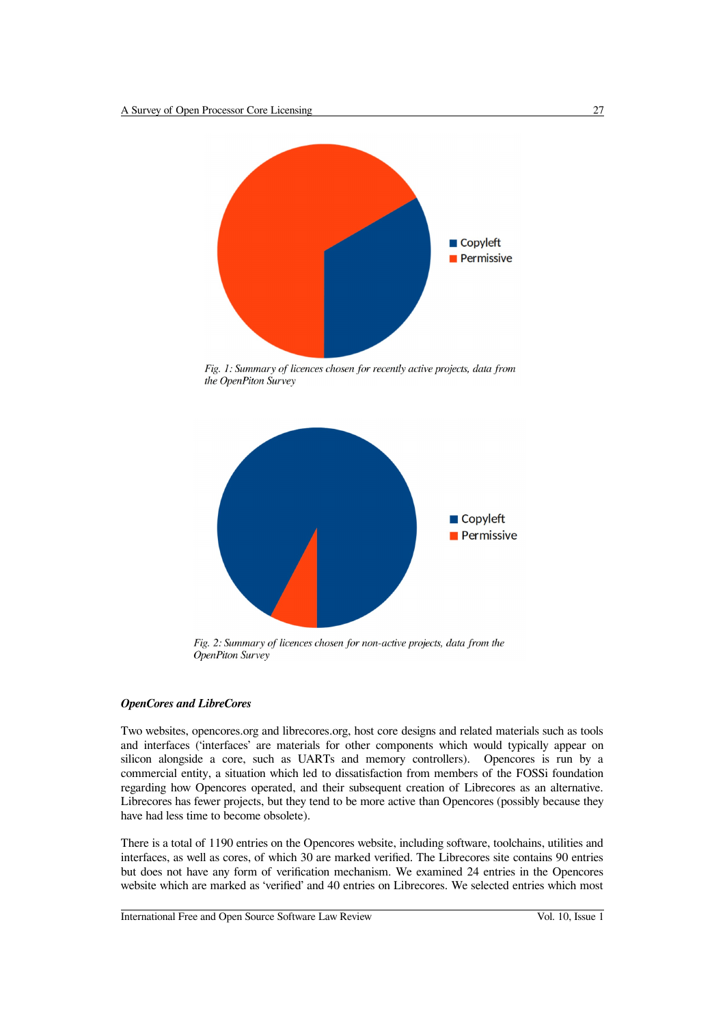

Fig. 1: Summary of licences chosen for recently active projects, data from the OpenPiton Survey



Fig. 2: Summary of licences chosen for non-active projects, data from the **OpenPiton Survey** 

#### *OpenCores and LibreCores*

Two websites, opencores.org and librecores.org, host core designs and related materials such as tools and interfaces ('interfaces' are materials for other components which would typically appear on silicon alongside a core, such as UARTs and memory controllers). Opencores is run by a commercial entity, a situation which led to dissatisfaction from members of the FOSSi foundation regarding how Opencores operated, and their subsequent creation of Librecores as an alternative. Librecores has fewer projects, but they tend to be more active than Opencores (possibly because they have had less time to become obsolete).

There is a total of 1190 entries on the Opencores website, including software, toolchains, utilities and interfaces, as well as cores, of which 30 are marked verified. The Librecores site contains 90 entries but does not have any form of verification mechanism. We examined 24 entries in the Opencores website which are marked as 'verified' and 40 entries on Librecores. We selected entries which most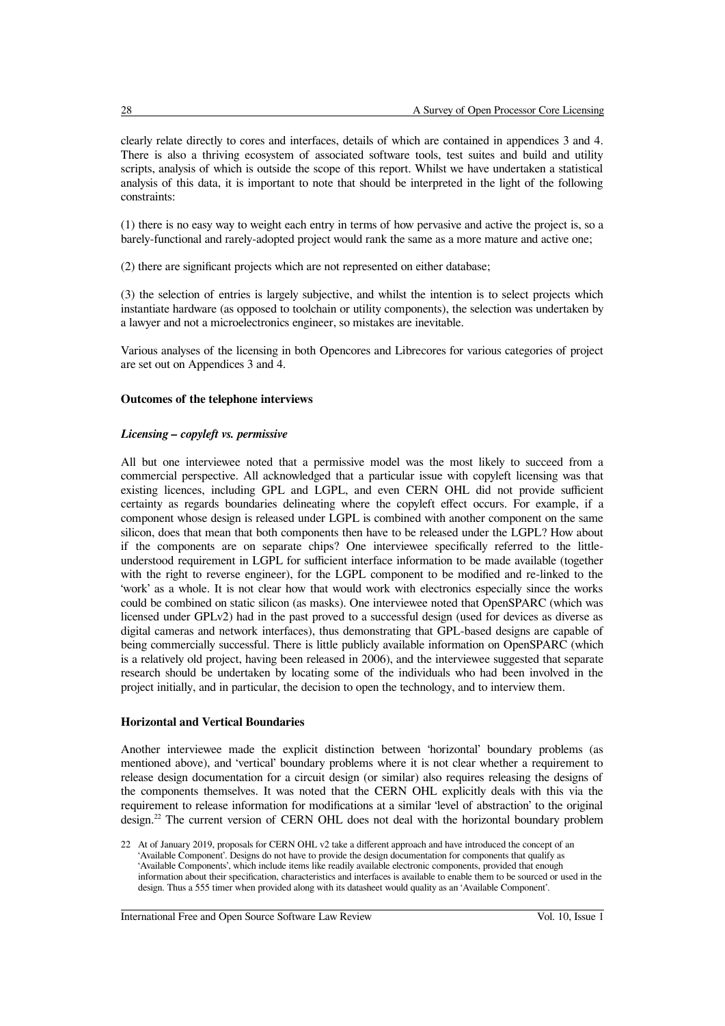clearly relate directly to cores and interfaces, details of which are contained in appendices 3 and 4. There is also a thriving ecosystem of associated software tools, test suites and build and utility scripts, analysis of which is outside the scope of this report. Whilst we have undertaken a statistical analysis of this data, it is important to note that should be interpreted in the light of the following constraints:

(1) there is no easy way to weight each entry in terms of how pervasive and active the project is, so a barely-functional and rarely-adopted project would rank the same as a more mature and active one;

(2) there are significant projects which are not represented on either database;

(3) the selection of entries is largely subjective, and whilst the intention is to select projects which instantiate hardware (as opposed to toolchain or utility components), the selection was undertaken by a lawyer and not a microelectronics engineer, so mistakes are inevitable.

Various analyses of the licensing in both Opencores and Librecores for various categories of project are set out on Appendices 3 and 4.

#### **Outcomes of the telephone interviews**

#### *Licensing – copyleft vs. permissive*

All but one interviewee noted that a permissive model was the most likely to succeed from a commercial perspective. All acknowledged that a particular issue with copyleft licensing was that existing licences, including GPL and LGPL, and even CERN OHL did not provide sufficient certainty as regards boundaries delineating where the copyleft effect occurs. For example, if a component whose design is released under LGPL is combined with another component on the same silicon, does that mean that both components then have to be released under the LGPL? How about if the components are on separate chips? One interviewee specifically referred to the littleunderstood requirement in LGPL for sufficient interface information to be made available (together with the right to reverse engineer), for the LGPL component to be modified and re-linked to the 'work' as a whole. It is not clear how that would work with electronics especially since the works could be combined on static silicon (as masks). One interviewee noted that OpenSPARC (which was licensed under GPLv2) had in the past proved to a successful design (used for devices as diverse as digital cameras and network interfaces), thus demonstrating that GPL-based designs are capable of being commercially successful. There is little publicly available information on OpenSPARC (which is a relatively old project, having been released in 2006), and the interviewee suggested that separate research should be undertaken by locating some of the individuals who had been involved in the project initially, and in particular, the decision to open the technology, and to interview them.

#### **Horizontal and Vertical Boundaries**

Another interviewee made the explicit distinction between 'horizontal' boundary problems (as mentioned above), and 'vertical' boundary problems where it is not clear whether a requirement to release design documentation for a circuit design (or similar) also requires releasing the designs of the components themselves. It was noted that the CERN OHL explicitly deals with this via the requirement to release information for modifications at a similar 'level of abstraction' to the original design.<sup>[22](#page-7-0)</sup> The current version of CERN OHL does not deal with the horizontal boundary problem

<span id="page-7-0"></span><sup>22</sup> At of January 2019, proposals for CERN OHL v2 take a different approach and have introduced the concept of an 'Available Component'. Designs do not have to provide the design documentation for components that qualify as 'Available Components', which include items like readily available electronic components, provided that enough information about their specification, characteristics and interfaces is available to enable them to be sourced or used in the design. Thus a 555 timer when provided along with its datasheet would quality as an 'Available Component'.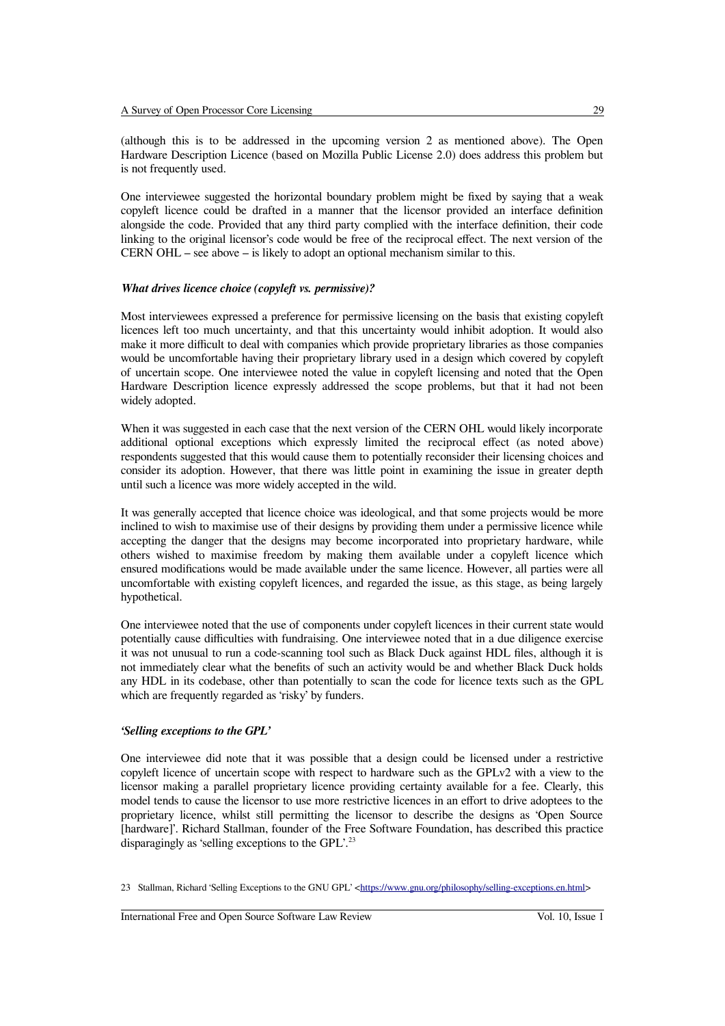(although this is to be addressed in the upcoming version 2 as mentioned above). The Open Hardware Description Licence (based on Mozilla Public License 2.0) does address this problem but is not frequently used.

One interviewee suggested the horizontal boundary problem might be fixed by saying that a weak copyleft licence could be drafted in a manner that the licensor provided an interface definition alongside the code. Provided that any third party complied with the interface definition, their code linking to the original licensor's code would be free of the reciprocal effect. The next version of the CERN OHL – see above – is likely to adopt an optional mechanism similar to this.

#### *What drives licence choice (copyleft vs. permissive)?*

Most interviewees expressed a preference for permissive licensing on the basis that existing copyleft licences left too much uncertainty, and that this uncertainty would inhibit adoption. It would also make it more difficult to deal with companies which provide proprietary libraries as those companies would be uncomfortable having their proprietary library used in a design which covered by copyleft of uncertain scope. One interviewee noted the value in copyleft licensing and noted that the Open Hardware Description licence expressly addressed the scope problems, but that it had not been widely adopted.

When it was suggested in each case that the next version of the CERN OHL would likely incorporate additional optional exceptions which expressly limited the reciprocal effect (as noted above) respondents suggested that this would cause them to potentially reconsider their licensing choices and consider its adoption. However, that there was little point in examining the issue in greater depth until such a licence was more widely accepted in the wild.

It was generally accepted that licence choice was ideological, and that some projects would be more inclined to wish to maximise use of their designs by providing them under a permissive licence while accepting the danger that the designs may become incorporated into proprietary hardware, while others wished to maximise freedom by making them available under a copyleft licence which ensured modifications would be made available under the same licence. However, all parties were all uncomfortable with existing copyleft licences, and regarded the issue, as this stage, as being largely hypothetical.

One interviewee noted that the use of components under copyleft licences in their current state would potentially cause difficulties with fundraising. One interviewee noted that in a due diligence exercise it was not unusual to run a code-scanning tool such as Black Duck against HDL files, although it is not immediately clear what the benefits of such an activity would be and whether Black Duck holds any HDL in its codebase, other than potentially to scan the code for licence texts such as the GPL which are frequently regarded as 'risky' by funders.

#### *'Selling exceptions to the GPL'*

One interviewee did note that it was possible that a design could be licensed under a restrictive copyleft licence of uncertain scope with respect to hardware such as the GPLv2 with a view to the licensor making a parallel proprietary licence providing certainty available for a fee. Clearly, this model tends to cause the licensor to use more restrictive licences in an effort to drive adoptees to the proprietary licence, whilst still permitting the licensor to describe the designs as 'Open Source [hardware]'. Richard Stallman, founder of the Free Software Foundation, has described this practice disparagingly as 'selling exceptions to the GPL'.<sup>[23](#page-8-0)</sup>

<span id="page-8-0"></span><sup>23</sup> Stallman, Richard 'Selling Exceptions to the GNU GPL' [<https://www.gnu.org/philosophy/selling-exceptions.en.html>](https://www.gnu.org/philosophy/selling-exceptions.en.html)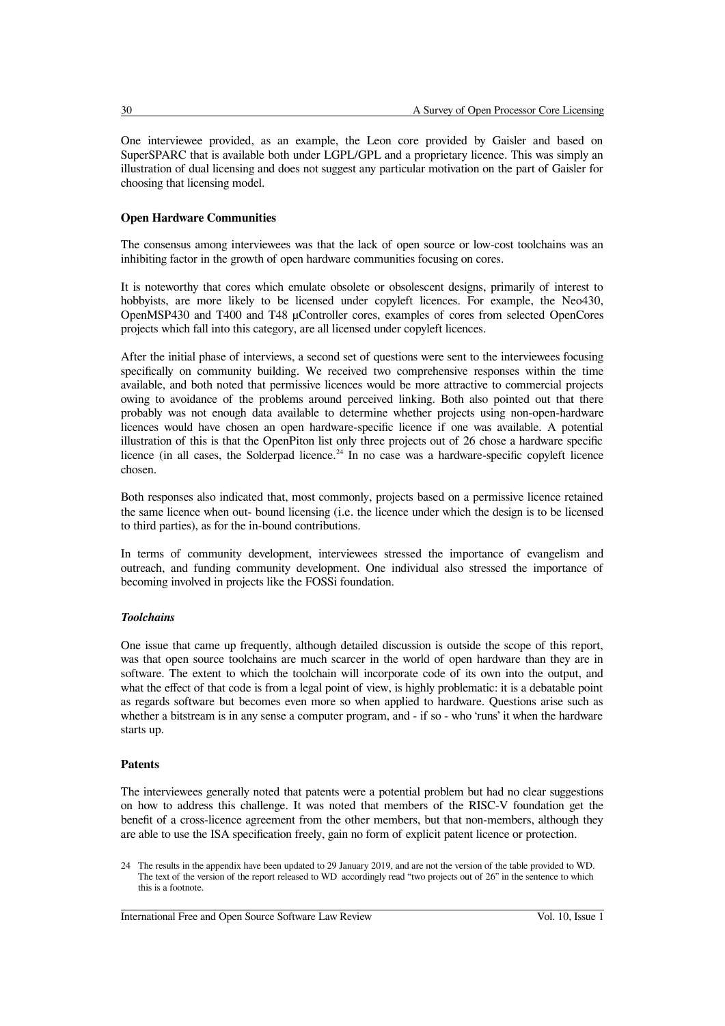One interviewee provided, as an example, the Leon core provided by Gaisler and based on SuperSPARC that is available both under LGPL/GPL and a proprietary licence. This was simply an illustration of dual licensing and does not suggest any particular motivation on the part of Gaisler for choosing that licensing model.

#### **Open Hardware Communities**

The consensus among interviewees was that the lack of open source or low-cost toolchains was an inhibiting factor in the growth of open hardware communities focusing on cores.

It is noteworthy that cores which emulate obsolete or obsolescent designs, primarily of interest to hobbyists, are more likely to be licensed under copyleft licences. For example, the Neo430, OpenMSP430 and T400 and T48 µController cores, examples of cores from selected OpenCores projects which fall into this category, are all licensed under copyleft licences.

After the initial phase of interviews, a second set of questions were sent to the interviewees focusing specifically on community building. We received two comprehensive responses within the time available, and both noted that permissive licences would be more attractive to commercial projects owing to avoidance of the problems around perceived linking. Both also pointed out that there probably was not enough data available to determine whether projects using non-open-hardware licences would have chosen an open hardware-specific licence if one was available. A potential illustration of this is that the OpenPiton list only three projects out of 26 chose a hardware specific licence (in all cases, the Solderpad licence.<sup>[24](#page-9-0)</sup> In no case was a hardware-specific copyleft licence chosen.

Both responses also indicated that, most commonly, projects based on a permissive licence retained the same licence when out- bound licensing (i.e. the licence under which the design is to be licensed to third parties), as for the in-bound contributions.

In terms of community development, interviewees stressed the importance of evangelism and outreach, and funding community development. One individual also stressed the importance of becoming involved in projects like the FOSSi foundation.

#### *Toolchains*

One issue that came up frequently, although detailed discussion is outside the scope of this report, was that open source toolchains are much scarcer in the world of open hardware than they are in software. The extent to which the toolchain will incorporate code of its own into the output, and what the effect of that code is from a legal point of view, is highly problematic: it is a debatable point as regards software but becomes even more so when applied to hardware. Questions arise such as whether a bitstream is in any sense a computer program, and - if so - who 'runs' it when the hardware starts up.

#### **Patents**

The interviewees generally noted that patents were a potential problem but had no clear suggestions on how to address this challenge. It was noted that members of the RISC-V foundation get the benefit of a cross-licence agreement from the other members, but that non-members, although they are able to use the ISA specification freely, gain no form of explicit patent licence or protection.

<span id="page-9-0"></span>24 The results in the appendix have been updated to 29 January 2019, and are not the version of the table provided to WD. The text of the version of the report released to WD accordingly read "two projects out of 26" in the sentence to which this is a footnote.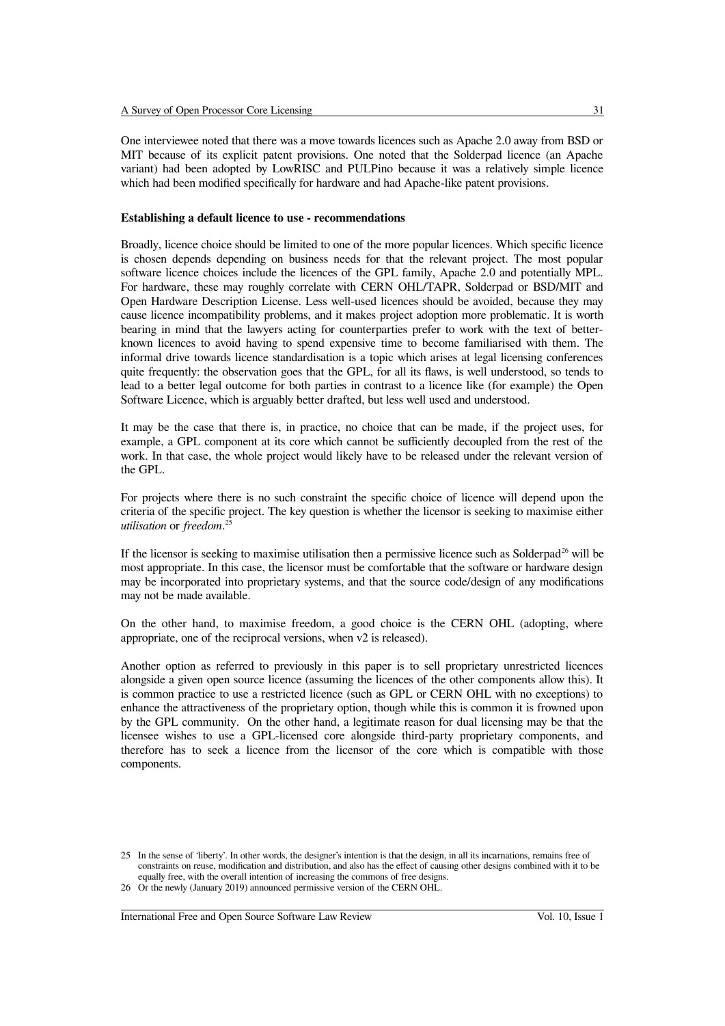One interviewee noted that there was a move towards licences such as Apache 2.0 away from BSD or MIT because of its explicit patent provisions. One noted that the Solderpad licence (an Apache variant) had been adopted by LowRISC and PULPino because it was a relatively simple licence which had been modified specifically for hardware and had Apache-like patent provisions.

#### **Establishing a default licence to use - recommendations**

Broadly, licence choice should be limited to one of the more popular licences. Which specific licence is chosen depends depending on business needs for that the relevant project. The most popular software licence choices include the licences of the GPL family, Apache 2.0 and potentially MPL. For hardware, these may roughly correlate with CERN OHL/TAPR, Solderpad or BSD/MIT and Open Hardware Description License. Less well-used licences should be avoided, because they may cause licence incompatibility problems, and it makes project adoption more problematic. It is worth bearing in mind that the lawyers acting for counterparties prefer to work with the text of betterknown licences to avoid having to spend expensive time to become familiarised with them. The informal drive towards licence standardisation is a topic which arises at legal licensing conferences quite frequently: the observation goes that the GPL, for all its flaws, is well understood, so tends to lead to a better legal outcome for both parties in contrast to a licence like (for example) the Open Software Licence, which is arguably better drafted, but less well used and understood.

It may be the case that there is, in practice, no choice that can be made, if the project uses, for example, a GPL component at its core which cannot be sufficiently decoupled from the rest of the work. In that case, the whole project would likely have to be released under the relevant version of the GPL.

For projects where there is no such constraint the specific choice of licence will depend upon the criteria of the specific project. The key question is whether the licensor is seeking to maximise either *utilisation* or *freedom*. [25](#page-10-0)

If the licensor is seeking to maximise utilisation then a permissive licence such as Solderpad<sup>[26](#page-10-1)</sup> will be most appropriate. In this case, the licensor must be comfortable that the software or hardware design may be incorporated into proprietary systems, and that the source code/design of any modifications may not be made available.

On the other hand, to maximise freedom, a good choice is the CERN OHL (adopting, where appropriate, one of the reciprocal versions, when v2 is released).

Another option as referred to previously in this paper is to sell proprietary unrestricted licences alongside a given open source licence (assuming the licences of the other components allow this). It is common practice to use a restricted licence (such as GPL or CERN OHL with no exceptions) to enhance the attractiveness of the proprietary option, though while this is common it is frowned upon by the GPL community. On the other hand, a legitimate reason for dual licensing may be that the licensee wishes to use a GPL-licensed core alongside third-party proprietary components, and therefore has to seek a licence from the licensor of the core which is compatible with those components.

<span id="page-10-0"></span><sup>25</sup> In the sense of 'liberty'. In other words, the designer's intention is that the design, in all its incarnations, remains free of constraints on reuse, modification and distribution, and also has the effect of causing other designs combined with it to be equally free, with the overall intention of increasing the commons of free designs.

<span id="page-10-1"></span><sup>26</sup> Or the newly (January 2019) announced permissive version of the CERN OHL.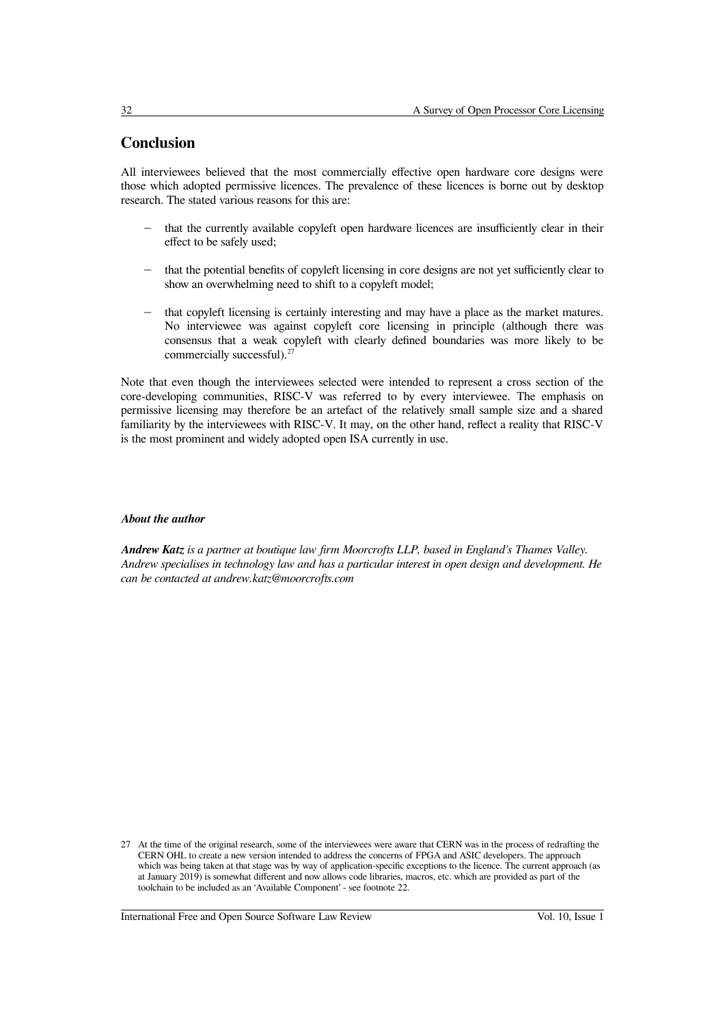## **Conclusion**

All interviewees believed that the most commercially effective open hardware core designs were those which adopted permissive licences. The prevalence of these licences is borne out by desktop research. The stated various reasons for this are:

- that the currently available copyleft open hardware licences are insufficiently clear in their effect to be safely used;
- that the potential benefits of copyleft licensing in core designs are not yet sufficiently clear to show an overwhelming need to shift to a copyleft model;
- that copyleft licensing is certainly interesting and may have a place as the market matures. No interviewee was against copyleft core licensing in principle (although there was consensus that a weak copyleft with clearly defined boundaries was more likely to be commercially successful).<sup>[27](#page-11-0)</sup>

Note that even though the interviewees selected were intended to represent a cross section of the core-developing communities, RISC-V was referred to by every interviewee. The emphasis on permissive licensing may therefore be an artefact of the relatively small sample size and a shared familiarity by the interviewees with RISC-V. It may, on the other hand, reflect a reality that RISC-V is the most prominent and widely adopted open ISA currently in use.

#### *About the author*

*Andrew Katz is a partner at boutique law firm Moorcrofts LLP, based in England's Thames Valley. Andrew specialises in technology law and has a particular interest in open design and development. He can be contacted at andrew.katz@moorcrofts.com*

<span id="page-11-0"></span><sup>27</sup> At the time of the original research, some of the interviewees were aware that CERN was in the process of redrafting the CERN OHL to create a new version intended to address the concerns of FPGA and ASIC developers. The approach which was being taken at that stage was by way of application-specific exceptions to the licence. The current approach (as at January 2019) is somewhat different and now allows code libraries, macros, etc. which are provided as part of the toolchain to be included as an 'Available Component' - see footnote 22.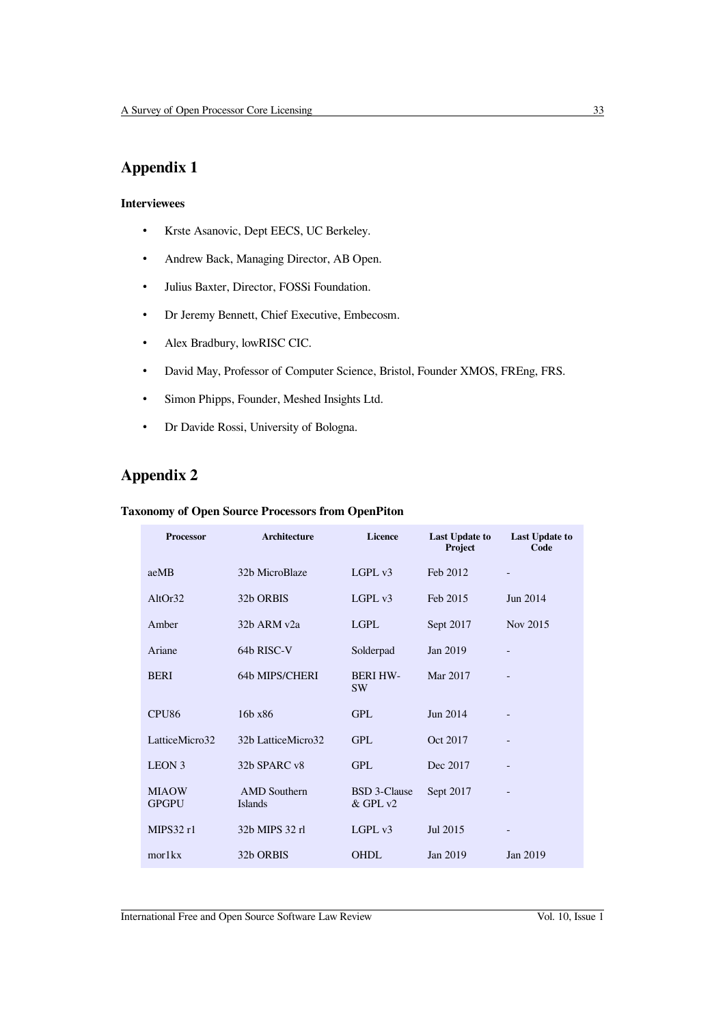# **Appendix 1**

#### **Interviewees**

- Krste Asanovic, Dept EECS, UC Berkeley.
- Andrew Back, Managing Director, AB Open.
- Julius Baxter, Director, FOSSi Foundation.
- Dr Jeremy Bennett, Chief Executive, Embecosm.
- Alex Bradbury, lowRISC CIC.
- David May, Professor of Computer Science, Bristol, Founder XMOS, FREng, FRS.
- Simon Phipps, Founder, Meshed Insights Ltd.
- Dr Davide Rossi, University of Bologna.

# **Appendix 2**

#### **Taxonomy of Open Source Processors from OpenPiton**

| <b>Processor</b>             | Architecture                          | <b>Licence</b>                      | <b>Last Update to</b><br>Project | <b>Last Update to</b><br>Code |
|------------------------------|---------------------------------------|-------------------------------------|----------------------------------|-------------------------------|
| aeMB                         | 32b MicroBlaze                        | LGPL v3                             | Feb 2012                         | -                             |
| AltOr32                      | 32b ORBIS                             | $L$ GPL $v3$                        | Feb 2015                         | Jun 2014                      |
| Amber                        | 32b ARM v2a                           | <b>LGPL</b>                         | Sept 2017                        | Nov 2015                      |
| Ariane                       | 64b RISC-V                            | Solderpad                           | Jan 2019                         |                               |
| <b>BERI</b>                  | 64b MIPS/CHERI                        | <b>BERI HW-</b><br><b>SW</b>        | Mar 2017                         |                               |
| CPU <sub>86</sub>            | 16b x86                               | <b>GPL</b>                          | Jun 2014                         |                               |
| LatticeMicro32               | 32b LatticeMicro32                    | <b>GPL</b>                          | Oct 2017                         |                               |
| LEON <sub>3</sub>            | 32b SPARC v8                          | <b>GPL</b>                          | Dec 2017                         |                               |
| <b>MIAOW</b><br><b>GPGPU</b> | <b>AMD</b> Southern<br><b>Islands</b> | <b>BSD</b> 3-Clause<br>$&$ GPL $v2$ | Sept 2017                        | -                             |
| MIPS32 r1                    | 32b MIPS 32 rl                        | LGPLv3                              | Jul 2015                         | -                             |
| mor1kx                       | 32b ORBIS                             | <b>OHDL</b>                         | Jan 2019                         | Jan 2019                      |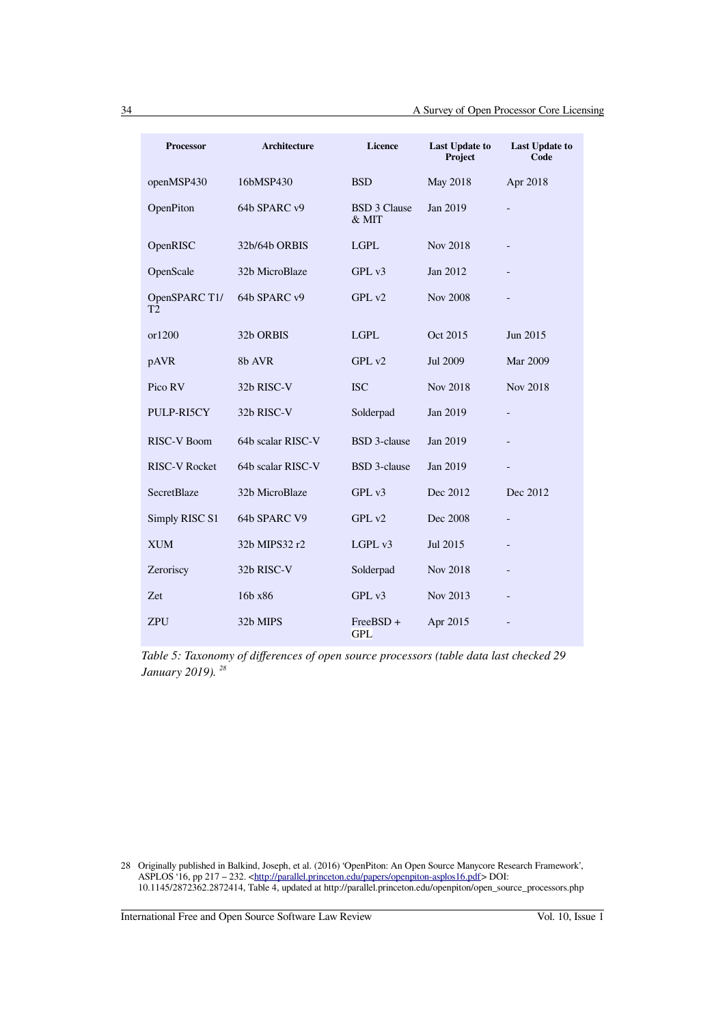| <b>Processor</b>     | <b>Architecture</b> | <b>Licence</b>               | <b>Last Update to</b><br>Project | <b>Last Update to</b><br>Code |
|----------------------|---------------------|------------------------------|----------------------------------|-------------------------------|
| openMSP430           | 16bMSP430           | <b>BSD</b>                   | May 2018                         | Apr 2018                      |
| OpenPiton            | 64b SPARC v9        | <b>BSD 3 Clause</b><br>& MIT | Jan 2019                         | $\blacksquare$                |
| OpenRISC             | 32b/64b ORBIS       | <b>LGPL</b>                  | Nov 2018                         |                               |
| OpenScale            | 32b MicroBlaze      | GPLv3                        | Jan 2012                         |                               |
| OpenSPARC T1/<br>T2  | 64b SPARC v9        | GPL v2                       | <b>Nov 2008</b>                  |                               |
| or1200               | 32b ORBIS           | <b>LGPL</b>                  | Oct 2015                         | Jun 2015                      |
| pAVR                 | 8b AVR              | GPL v2                       | Jul 2009                         | Mar 2009                      |
| Pico RV              | 32b RISC-V          | <b>ISC</b>                   | Nov 2018                         | Nov 2018                      |
| PULP-RI5CY           | 32b RISC-V          | Solderpad                    | Jan 2019                         | $\blacksquare$                |
| <b>RISC-V Boom</b>   | 64b scalar RISC-V   | <b>BSD</b> 3-clause          | Jan 2019                         |                               |
| <b>RISC-V Rocket</b> | 64b scalar RISC-V   | <b>BSD</b> 3-clause          | Jan 2019                         | ÷,                            |
| <b>SecretBlaze</b>   | 32b MicroBlaze      | GPL v3                       | Dec 2012                         | Dec 2012                      |
| Simply RISC S1       | 64b SPARC V9        | GPL v2                       | Dec 2008                         | $\blacksquare$                |
| <b>XUM</b>           | 32b MIPS32 r2       | LGPL v3                      | Jul 2015                         |                               |
| Zeroriscy            | 32b RISC-V          | Solderpad                    | Nov 2018                         |                               |
| Zet                  | 16b x86             | GPL v3                       | Nov 2013                         |                               |
| <b>ZPU</b>           | 32b MIPS            | FreeBSD +<br><b>GPL</b>      | Apr 2015                         |                               |

*Table 5: Taxonomy of differences of open source processors (table data last checked 29 January 2019). [28](#page-13-0)*

<span id="page-13-0"></span>28 Originally published in Balkind, Joseph, et al. (2016) 'OpenPiton: An Open Source Manycore Research Framework', ASPLOS '16, pp 217 – 232. [<http://parallel.princeton.edu/papers/openpiton-asplos16.pdf>](http://parallel.princeton.edu/papers/openpiton-asplos16.pdf) DOI: 10.1145/2872362.2872414, Table 4, updated at http://parallel.princeton.edu/openpiton/open\_source\_processors.php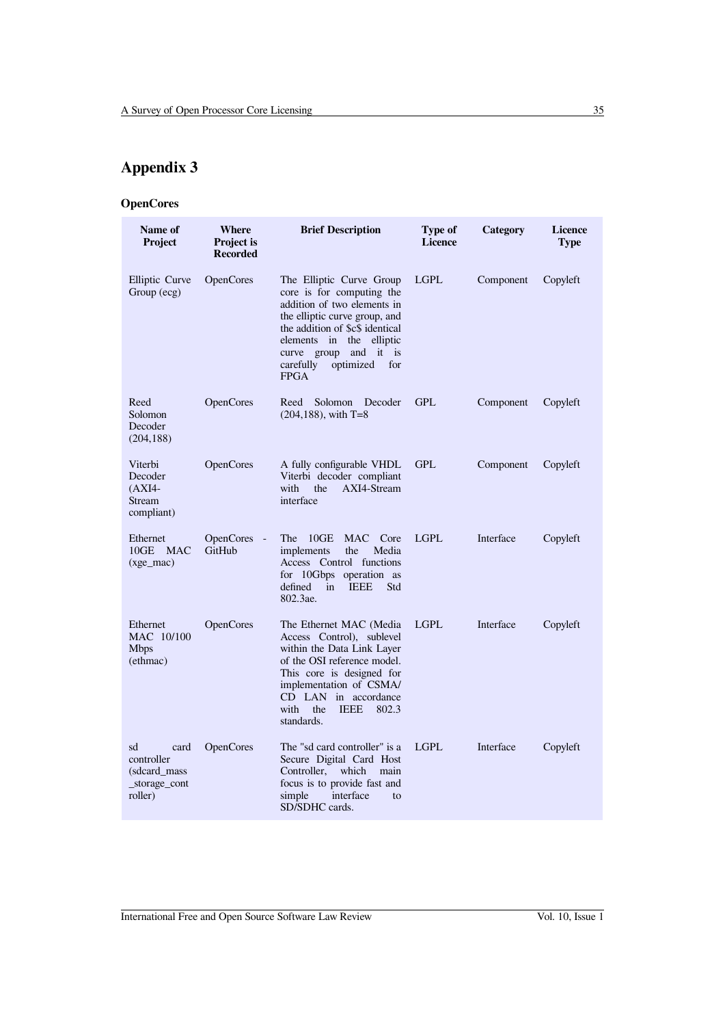# **Appendix 3**

# **OpenCores**

| Name of<br><b>Project</b>                                             | Where<br><b>Project is</b><br><b>Recorded</b> | <b>Brief Description</b>                                                                                                                                                                                                                                            | <b>Type of</b><br><b>Licence</b> | Category  | <b>Licence</b><br><b>Type</b> |
|-----------------------------------------------------------------------|-----------------------------------------------|---------------------------------------------------------------------------------------------------------------------------------------------------------------------------------------------------------------------------------------------------------------------|----------------------------------|-----------|-------------------------------|
| Elliptic Curve<br>Group (ecg)                                         | <b>OpenCores</b>                              | The Elliptic Curve Group<br>core is for computing the<br>addition of two elements in<br>the elliptic curve group, and<br>the addition of \$c\$ identical<br>elements in<br>the elliptic<br>and it is<br>curve group<br>carefully<br>optimized<br>for<br><b>FPGA</b> | <b>LGPL</b>                      | Component | Copyleft                      |
| Reed<br>Solomon<br>Decoder<br>(204, 188)                              | <b>OpenCores</b>                              | Reed<br>Solomon<br>Decoder<br>$(204, 188)$ , with T=8                                                                                                                                                                                                               | <b>GPL</b>                       | Component | Copyleft                      |
| Viterbi<br>Decoder<br>$(AXI4-$<br>Stream<br>compliant)                | <b>OpenCores</b>                              | A fully configurable VHDL<br>Viterbi decoder compliant<br>AXI4-Stream<br>with<br>the<br>interface                                                                                                                                                                   | <b>GPL</b>                       | Component | Copyleft                      |
| Ethernet<br>10GE<br><b>MAC</b><br>$(xge$ mac)                         | <b>OpenCores</b><br>$\sim$<br>GitHub          | 10GE<br><b>MAC</b><br>The<br>Core<br>implements<br>Media<br>the<br>Access Control functions<br>for 10Gbps operation as<br>defined<br><b>IEEE</b><br>Std<br>in<br>802.3ae.                                                                                           | <b>LGPL</b>                      | Interface | Copyleft                      |
| Ethernet<br>MAC 10/100<br><b>Mbps</b><br>(ethmac)                     | <b>OpenCores</b>                              | The Ethernet MAC (Media<br>Access Control), sublevel<br>within the Data Link Layer<br>of the OSI reference model.<br>This core is designed for<br>implementation of CSMA/<br>CD LAN in accordance<br><b>IEEE</b><br>with<br>the<br>802.3<br>standards.              | <b>LGPL</b>                      | Interface | Copyleft                      |
| card<br>sd<br>controller<br>(sdcard mass)<br>_storage_cont<br>roller) | <b>OpenCores</b>                              | The "sd card controller" is a<br>Secure Digital Card Host<br>Controller,<br>which<br>main<br>focus is to provide fast and<br>simple<br>interface<br>to<br>SD/SDHC cards.                                                                                            | <b>LGPL</b>                      | Interface | Copyleft                      |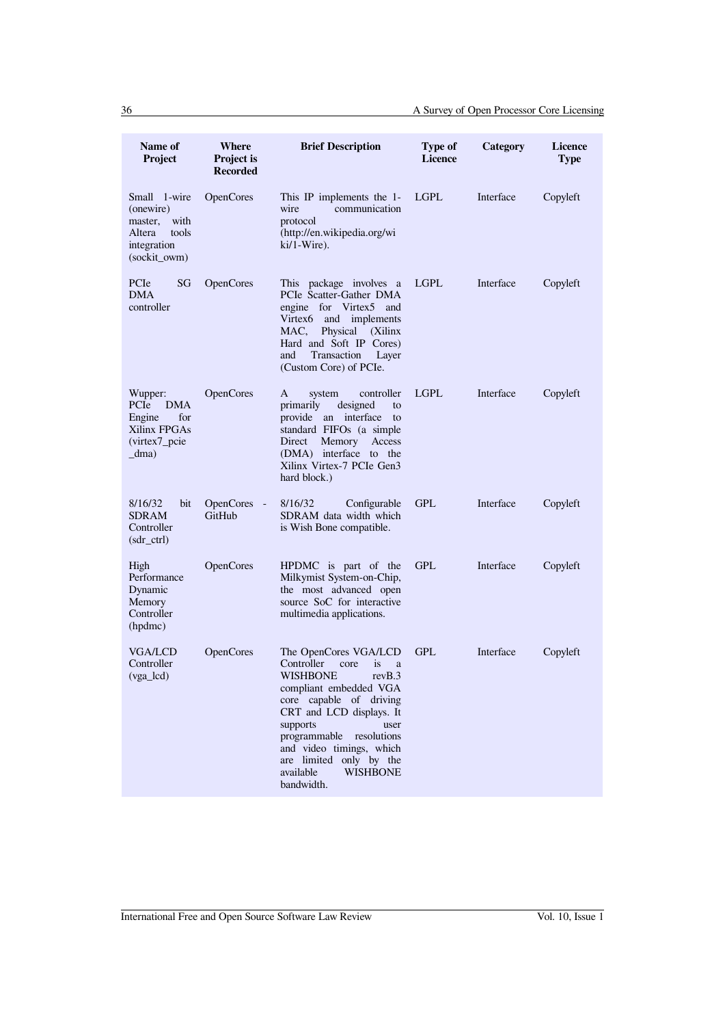| Name of<br>Project                                                                             | Where<br><b>Project is</b><br><b>Recorded</b> | <b>Brief Description</b>                                                                                                                                                                                                                                                                                                  | <b>Type of</b><br><b>Licence</b> | Category  | <b>Licence</b><br><b>Type</b> |
|------------------------------------------------------------------------------------------------|-----------------------------------------------|---------------------------------------------------------------------------------------------------------------------------------------------------------------------------------------------------------------------------------------------------------------------------------------------------------------------------|----------------------------------|-----------|-------------------------------|
| Small 1-wire<br>(onewire)<br>with<br>master,<br>Altera<br>tools<br>integration<br>(sockit_owm) | <b>OpenCores</b>                              | This IP implements the 1-<br>wire<br>communication<br>protocol<br>(http://en.wikipedia.org/wi<br>$ki/1-Wire$ ).                                                                                                                                                                                                           | <b>LGPL</b>                      | Interface | Copyleft                      |
| SG<br>PCIe<br>DMA<br>controller                                                                | <b>OpenCores</b>                              | This package involves a<br>PCIe Scatter-Gather DMA<br>engine for Virtex5 and<br>Virtex6 and implements<br>MAC,<br>Physical<br>(Xilinx)<br>Hard and Soft IP Cores)<br>Transaction<br>and<br>Layer<br>(Custom Core) of PCIe.                                                                                                | <b>LGPL</b>                      | Interface | Copyleft                      |
| Wupper:<br>PCIe<br><b>DMA</b><br>for<br>Engine<br>Xilinx FPGAs<br>(virtex7 pcie<br>dma)        | <b>OpenCores</b>                              | controller<br>A<br>system<br>primarily<br>designed<br>to<br>provide an interface<br>to<br>standard FIFOs (a simple<br>Direct<br>Memory<br>Access<br>(DMA) interface to the<br>Xilinx Virtex-7 PCIe Gen3<br>hard block.)                                                                                                   | LGPL                             | Interface | Copyleft                      |
| 8/16/32<br>bit<br>SDRAM<br>Controller<br>$(sdr_c$ ctrl $)$                                     | <b>OpenCores</b><br>$\sim$ $-$<br>GitHub      | 8/16/32<br>Configurable<br>SDRAM data width which<br>is Wish Bone compatible.                                                                                                                                                                                                                                             | <b>GPL</b>                       | Interface | Copyleft                      |
| High<br>Performance<br>Dynamic<br>Memory<br>Controller<br>(hpdmc)                              | <b>OpenCores</b>                              | HPDMC is part of the<br>Milkymist System-on-Chip,<br>the most advanced open<br>source SoC for interactive<br>multimedia applications.                                                                                                                                                                                     | <b>GPL</b>                       | Interface | Copyleft                      |
| VGA/LCD<br>Controller<br>(vga_lcd)                                                             | OpenCores                                     | The OpenCores VGA/LCD<br>Controller<br>core<br><i>is</i><br>a<br>WISHBONE<br>revB.3<br>compliant embedded VGA<br>core capable of driving<br>CRT and LCD displays. It<br>supports<br>user<br>programmable resolutions<br>and video timings, which<br>are limited only by the<br><b>WISHBONE</b><br>available<br>bandwidth. | <b>GPL</b>                       | Interface | Copyleft                      |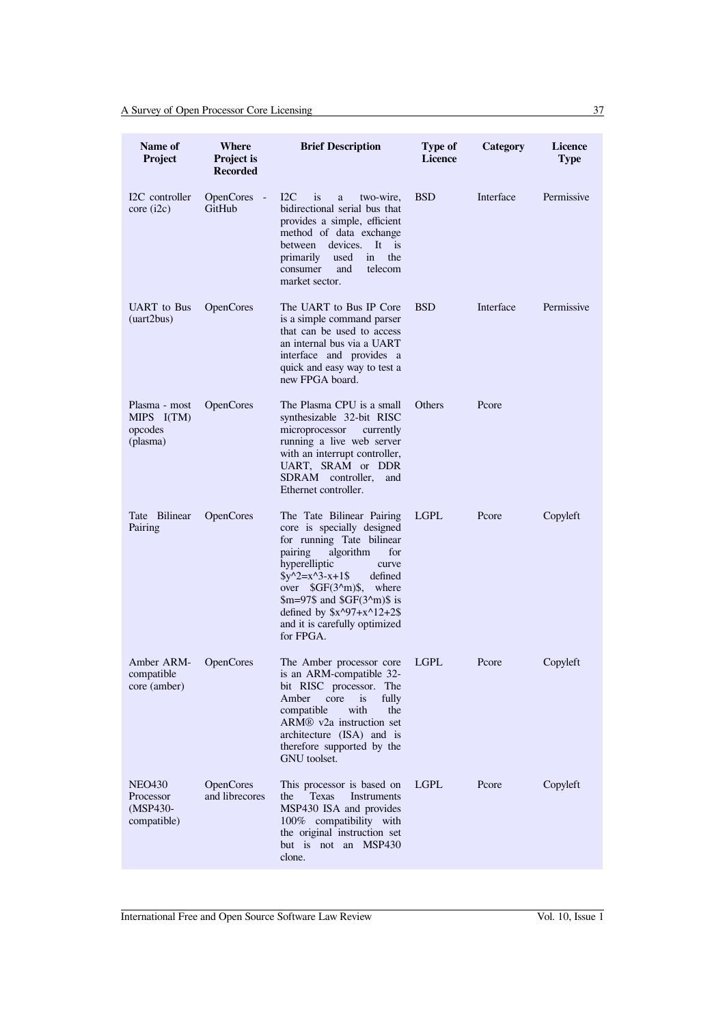| Name of<br>Project                                     | Where<br><b>Project</b> is<br><b>Recorded</b> | <b>Brief Description</b>                                                                                                                                                                                                                                                                                                           | <b>Type of</b><br><b>Licence</b> | Category  | <b>Licence</b><br><b>Type</b> |
|--------------------------------------------------------|-----------------------------------------------|------------------------------------------------------------------------------------------------------------------------------------------------------------------------------------------------------------------------------------------------------------------------------------------------------------------------------------|----------------------------------|-----------|-------------------------------|
| I2C controller<br>core (i2c)                           | <b>OpenCores</b><br>$\sim$<br>GitHub          | $_{\rm{I2C}}$<br><i>is</i><br>two-wire,<br>a<br>bidirectional serial bus that<br>provides a simple, efficient<br>method of data exchange<br>devices.<br>It is<br>between<br>the<br>primarily<br>used<br>in<br>consumer<br>and<br>telecom<br>market sector.                                                                         | <b>BSD</b>                       | Interface | Permissive                    |
| UART to Bus<br>(uart2bus)                              | <b>OpenCores</b>                              | The UART to Bus IP Core<br>is a simple command parser<br>that can be used to access<br>an internal bus via a UART<br>interface and provides a<br>quick and easy way to test a<br>new FPGA board.                                                                                                                                   | <b>BSD</b>                       | Interface | Permissive                    |
| Plasma - most<br>$MIPS$ $I(TM)$<br>opcodes<br>(plasma) | <b>OpenCores</b>                              | The Plasma CPU is a small<br>synthesizable 32-bit RISC<br>microprocessor<br>currently<br>running a live web server<br>with an interrupt controller,<br>UART, SRAM or DDR<br>SDRAM controller,<br>and<br>Ethernet controller.                                                                                                       | Others                           | Pcore     |                               |
| Tate Bilinear<br>Pairing                               | OpenCores                                     | The Tate Bilinear Pairing<br>core is specially designed<br>for running Tate bilinear<br>algorithm<br>pairing<br>for<br>hyperelliptic<br>curve<br>$y^2 = x^3 - x + 1$<br>defined<br>over $\frac{GF(3^m)}{s}$ ,<br>where<br>$m=97\$ and $SGF(32m)\$ is<br>defined by $x^{97+x^{12}+2\$<br>and it is carefully optimized<br>for FPGA. | <b>LGPL</b>                      | Pcore     | Copyleft                      |
| Amber ARM-<br>compatible<br>core (amber)               | <b>OpenCores</b>                              | The Amber processor core<br>is an ARM-compatible 32-<br>bit RISC processor. The<br>fully<br>Amber<br>core<br><i>is</i><br>with<br>the<br>compatible<br>ARM <sup>®</sup> v2a instruction set<br>architecture (ISA) and is<br>therefore supported by the<br>GNU toolset.                                                             | <b>LGPL</b>                      | Pcore     | Copyleft                      |
| <b>NEO430</b><br>Processor<br>(MSP430-<br>compatible)  | OpenCores<br>and librecores                   | This processor is based on<br><b>Texas</b><br>Instruments<br>the<br>MSP430 ISA and provides<br>100% compatibility with<br>the original instruction set<br>but is not an MSP430<br>clone.                                                                                                                                           | <b>LGPL</b>                      | Pcore     | Copyleft                      |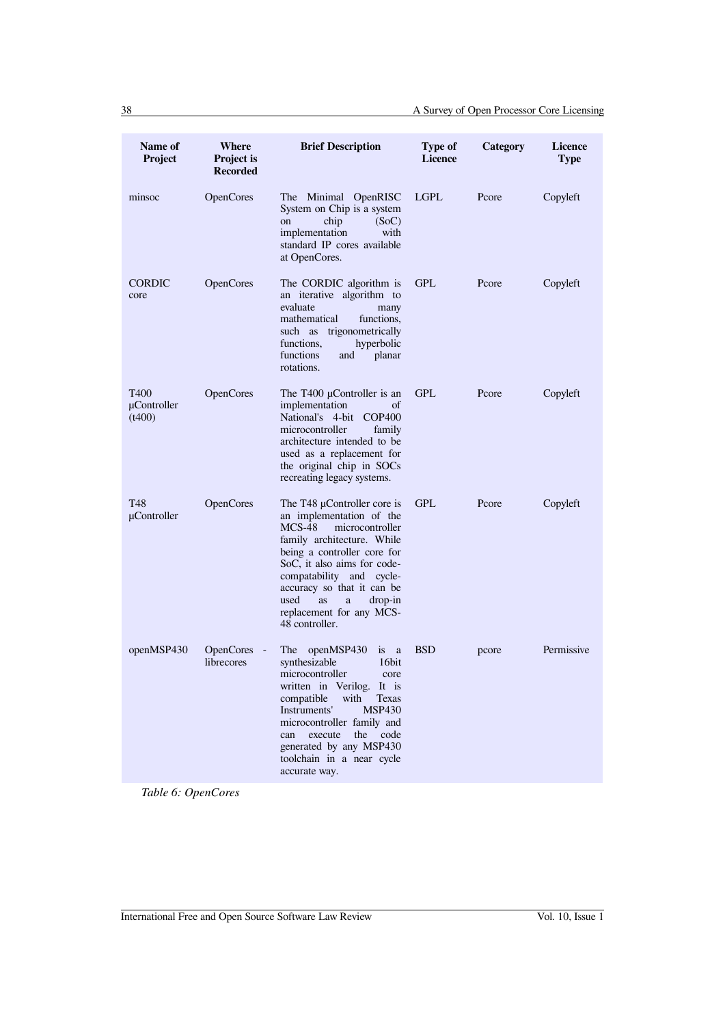| Name of<br>Project            | Where<br><b>Project is</b><br><b>Recorded</b> | <b>Brief Description</b>                                                                                                                                                                                                                                                                                                 | <b>Type of</b><br><b>Licence</b> | Category | <b>Licence</b><br><b>Type</b> |
|-------------------------------|-----------------------------------------------|--------------------------------------------------------------------------------------------------------------------------------------------------------------------------------------------------------------------------------------------------------------------------------------------------------------------------|----------------------------------|----------|-------------------------------|
| minsoc                        | <b>OpenCores</b>                              | The Minimal OpenRISC<br>System on Chip is a system<br>chip<br>(SoC)<br>on<br>implementation<br>with<br>standard IP cores available<br>at OpenCores.                                                                                                                                                                      | <b>LGPL</b>                      | Pcore    | Copyleft                      |
| <b>CORDIC</b><br>core         | OpenCores                                     | The CORDIC algorithm is<br>an iterative algorithm to<br>evaluate<br>many<br>functions.<br>mathematical<br>such as trigonometrically<br>hyperbolic<br>functions,<br>functions<br>planar<br>and<br>rotations.                                                                                                              | <b>GPL</b>                       | Pcore    | Copyleft                      |
| T400<br>µController<br>(t400) | <b>OpenCores</b>                              | The T400 $\mu$ Controller is an<br>implementation<br>οf<br>National's 4-bit<br>COP400<br>microcontroller<br>family<br>architecture intended to be<br>used as a replacement for<br>the original chip in SOCs<br>recreating legacy systems.                                                                                | <b>GPL</b>                       | Pcore    | Copyleft                      |
| T48<br>µController            | <b>OpenCores</b>                              | The T48 µController core is<br>an implementation of the<br>$MCS-48$<br>microcontroller<br>family architecture. While<br>being a controller core for<br>SoC, it also aims for code-<br>compatability and cycle-<br>accuracy so that it can be<br>used<br>drop-in<br>as<br>a<br>replacement for any MCS-<br>48 controller. | <b>GPL</b>                       | Pcore    | Copyleft                      |
| openMSP430                    | <b>OpenCores</b><br>librecores                | The openMSP430<br>is a<br>synthesizable<br>16bit<br>microcontroller<br>core<br>written in Verilog. It is<br>compatible<br>with<br><b>Texas</b><br>Instruments'<br><b>MSP430</b><br>microcontroller family and<br>execute<br>the<br>code<br>can<br>generated by any MSP430<br>toolchain in a near cycle<br>accurate way.  | <b>BSD</b>                       | pcore    | Permissive                    |

*Table 6: OpenCores*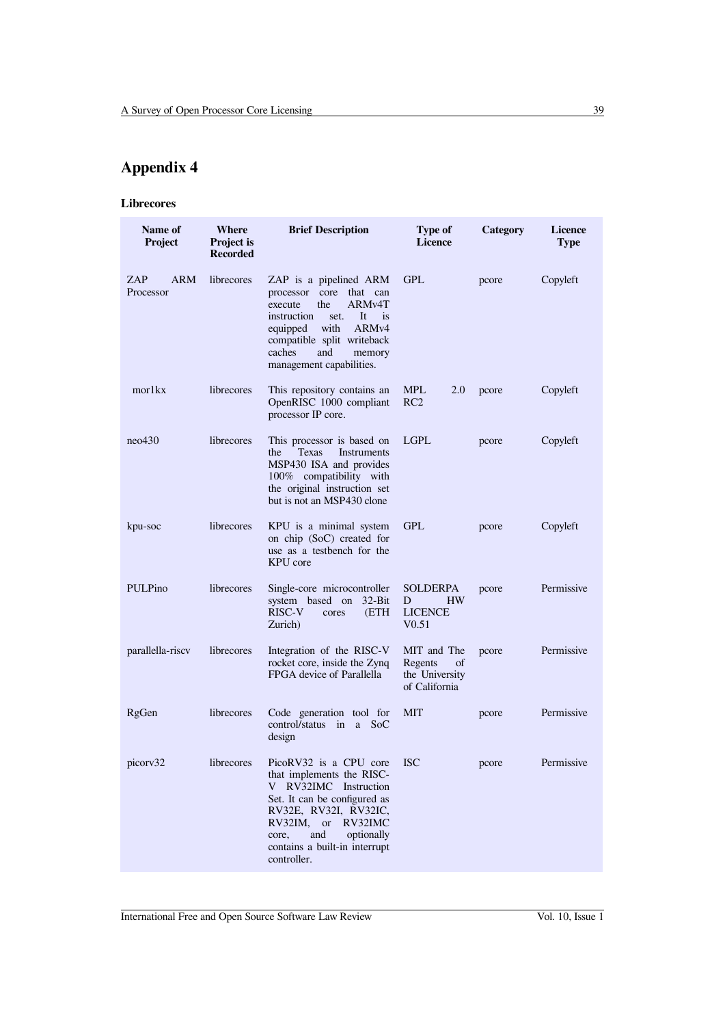# **Appendix 4**

### **Librecores**

| Name of<br>Project             | Where<br><b>Project is</b><br><b>Recorded</b> | <b>Brief Description</b>                                                                                                                                                                                                                                               | Type of<br><b>Licence</b>                                                | Category | <b>Licence</b><br><b>Type</b> |
|--------------------------------|-----------------------------------------------|------------------------------------------------------------------------------------------------------------------------------------------------------------------------------------------------------------------------------------------------------------------------|--------------------------------------------------------------------------|----------|-------------------------------|
| <b>ARM</b><br>ZAP<br>Processor | librecores                                    | ZAP is a pipelined ARM<br>processor core that can<br>the<br>ARM <sub>v4</sub> T<br>execute<br>instruction<br>It<br>$\frac{1}{1}$<br>set.<br>with<br>ARM <sub>v4</sub><br>equipped<br>compatible split writeback<br>caches<br>and<br>memory<br>management capabilities. | <b>GPL</b>                                                               | pcore    | Copyleft                      |
| mor1kx                         | librecores                                    | This repository contains an<br>OpenRISC 1000 compliant<br>processor IP core.                                                                                                                                                                                           | <b>MPL</b><br>2.0<br>RC <sub>2</sub>                                     | pcore    | Copyleft                      |
| neo430                         | librecores                                    | This processor is based on<br><b>Texas</b><br>Instruments<br>the<br>MSP430 ISA and provides<br>100% compatibility with<br>the original instruction set<br>but is not an MSP430 clone                                                                                   | <b>LGPL</b>                                                              | pcore    | Copyleft                      |
| kpu-soc                        | librecores                                    | KPU is a minimal system<br>on chip (SoC) created for<br>use as a testbench for the<br>KPU core                                                                                                                                                                         | <b>GPL</b>                                                               | pcore    | Copyleft                      |
| <b>PULPino</b>                 | librecores                                    | Single-core microcontroller<br>$32-Bit$<br>system based on<br>RISC-V<br>(ETH<br>cores<br>Zurich)                                                                                                                                                                       | <b>SOLDERPA</b><br><b>HW</b><br>D<br><b>LICENCE</b><br>V <sub>0.51</sub> | pcore    | Permissive                    |
| parallella-riscy               | librecores                                    | Integration of the RISC-V<br>rocket core, inside the Zynq<br>FPGA device of Parallella                                                                                                                                                                                 | MIT and The<br>Regents<br>of<br>the University<br>of California          | pcore    | Permissive                    |
| RgGen                          | librecores                                    | Code generation tool for<br>control/status in a SoC<br>design                                                                                                                                                                                                          | <b>MIT</b>                                                               | pcore    | Permissive                    |
| picorv32                       | librecores                                    | PicoRV32 is a CPU core<br>that implements the RISC-<br>V RV32IMC Instruction<br>Set. It can be configured as<br>RV32E, RV32I, RV32IC,<br>RV32IM, or RV32IMC<br>and<br>optionally<br>core,<br>contains a built-in interrupt<br>controller.                              | <b>ISC</b>                                                               | pcore    | Permissive                    |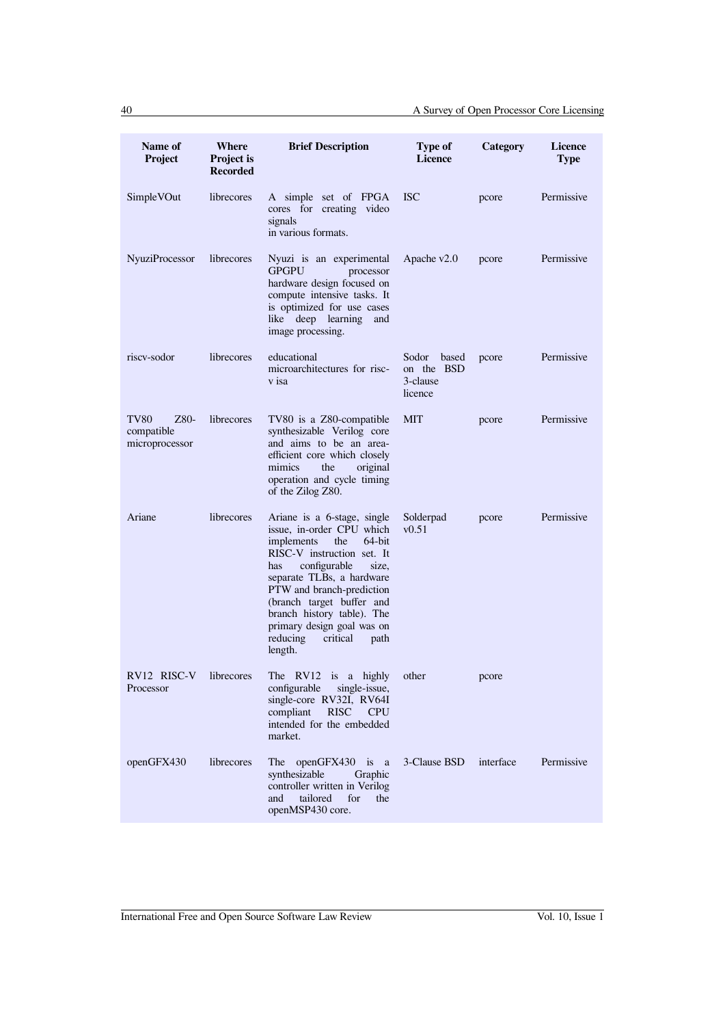| Name of<br>Project                                  | Where<br><b>Project is</b><br><b>Recorded</b> | <b>Brief Description</b>                                                                                                                                                                                                                                                                                                                            | Type of<br><b>Licence</b>                           | Category  | <b>Licence</b><br><b>Type</b> |
|-----------------------------------------------------|-----------------------------------------------|-----------------------------------------------------------------------------------------------------------------------------------------------------------------------------------------------------------------------------------------------------------------------------------------------------------------------------------------------------|-----------------------------------------------------|-----------|-------------------------------|
| SimpleVOut                                          | librecores                                    | A simple set of FPGA<br>cores for creating video<br>signals<br>in various formats.                                                                                                                                                                                                                                                                  | <b>ISC</b>                                          | pcore     | Permissive                    |
| <b>NyuziProcessor</b>                               | librecores                                    | Nyuzi is an experimental<br><b>GPGPU</b><br>processor<br>hardware design focused on<br>compute intensive tasks. It<br>is optimized for use cases<br>like deep learning<br>and<br>image processing.                                                                                                                                                  | Apache $v2.0$                                       | pcore     | Permissive                    |
| riscy-sodor                                         | librecores                                    | educational<br>microarchitectures for risc-<br>v isa                                                                                                                                                                                                                                                                                                | Sodor<br>based<br>on the BSD<br>3-clause<br>licence | pcore     | Permissive                    |
| <b>TV80</b><br>Z80-<br>compatible<br>microprocessor | librecores                                    | TV80 is a Z80-compatible<br>synthesizable Verilog core<br>and aims to be an area-<br>efficient core which closely<br>mimics<br>the<br>original<br>operation and cycle timing<br>of the Zilog Z80.                                                                                                                                                   | MIT                                                 | pcore     | Permissive                    |
| Ariane                                              | librecores                                    | Ariane is a 6-stage, single<br>issue, in-order CPU which<br>the<br>64-bit<br>implements<br>RISC-V instruction set. It<br>configurable<br>size,<br>has<br>separate TLBs, a hardware<br>PTW and branch-prediction<br>(branch target buffer and<br>branch history table). The<br>primary design goal was on<br>reducing<br>critical<br>path<br>length. | Solderpad<br>v0.51                                  | pcore     | Permissive                    |
| RV12 RISC-V<br>Processor                            | librecores                                    | The RV12 is a highly<br>configurable<br>single-issue,<br>single-core RV32I, RV64I<br><b>RISC</b><br>compliant<br><b>CPU</b><br>intended for the embedded<br>market.                                                                                                                                                                                 | other                                               | pcore     |                               |
| openGFX430                                          | librecores                                    | <b>The</b><br>openGFX430 is<br><sub>a</sub><br>synthesizable<br>Graphic<br>controller written in Verilog<br>tailored<br>for<br>the<br>and<br>openMSP430 core.                                                                                                                                                                                       | 3-Clause BSD                                        | interface | Permissive                    |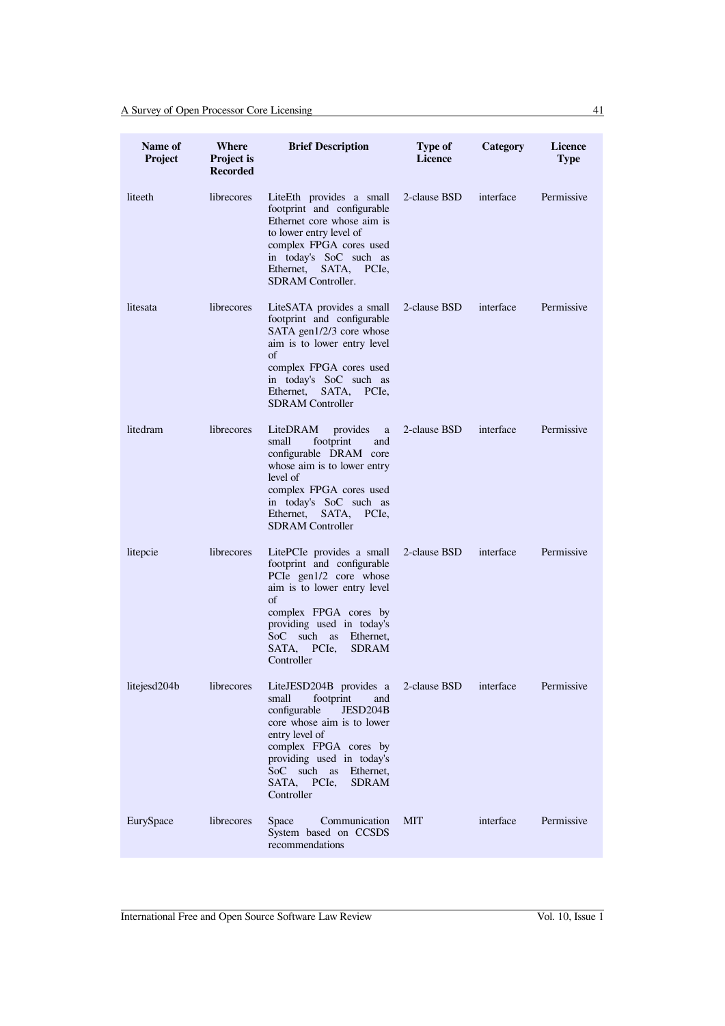| Name of<br>Project | Where<br><b>Project is</b><br><b>Recorded</b> | <b>Brief Description</b>                                                                                                                                                                                                                                           | Type of<br><b>Licence</b> | Category  | <b>Licence</b><br><b>Type</b> |
|--------------------|-----------------------------------------------|--------------------------------------------------------------------------------------------------------------------------------------------------------------------------------------------------------------------------------------------------------------------|---------------------------|-----------|-------------------------------|
| liteeth            | librecores                                    | LiteEth provides a small<br>footprint and configurable<br>Ethernet core whose aim is<br>to lower entry level of<br>complex FPGA cores used<br>in today's SoC such as<br>Ethernet,<br>SATA, PCIe,<br><b>SDRAM</b> Controller.                                       | 2-clause BSD              | interface | Permissive                    |
| litesata           | librecores                                    | LiteSATA provides a small<br>footprint and configurable<br>SATA gen1/2/3 core whose<br>aim is to lower entry level<br>οf<br>complex FPGA cores used<br>in today's SoC such as<br>Ethernet, SATA, PCIe,<br><b>SDRAM</b> Controller                                  | 2-clause BSD              | interface | Permissive                    |
| litedram           | librecores                                    | LiteDRAM<br>provides<br>a<br>footprint<br>small<br>and<br>configurable DRAM core<br>whose aim is to lower entry<br>level of<br>complex FPGA cores used<br>in today's SoC such as<br>Ethernet,<br>SATA, PCIe,<br><b>SDRAM</b> Controller                            | 2-clause BSD              | interface | Permissive                    |
| litepcie           | librecores                                    | LitePCIe provides a small<br>footprint and configurable<br>PCIe gen1/2 core whose<br>aim is to lower entry level<br>οf<br>complex FPGA cores by<br>providing used in today's<br>SoC such as<br>Ethernet,<br>SATA. PCIe.<br><b>SDRAM</b><br>Controller              | 2-clause BSD              | interface | Permissive                    |
| litejesd204b       | librecores                                    | LiteJESD204B provides a<br>footprint<br>small<br>and<br>configurable<br>JESD204B<br>core whose aim is to lower<br>entry level of<br>complex FPGA cores by<br>providing used in today's<br>SoC such<br>Ethernet,<br>as<br>SATA, PCIe,<br><b>SDRAM</b><br>Controller | 2-clause BSD              | interface | Permissive                    |
| EurySpace          | librecores                                    | Communication<br>Space<br>System based on CCSDS<br>recommendations                                                                                                                                                                                                 | <b>MIT</b>                | interface | Permissive                    |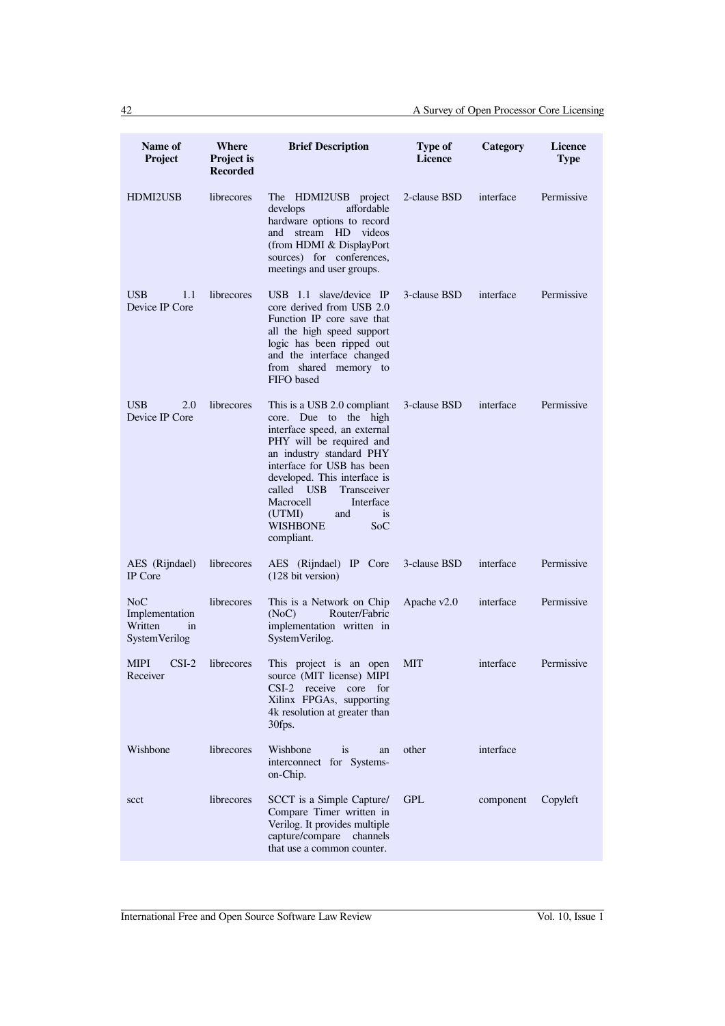| Name of<br>Project                                             | Where<br>Project is<br><b>Recorded</b> | <b>Brief Description</b>                                                                                                                                                                                                                                                                                                                | Type of<br><b>Licence</b> | Category  | <b>Licence</b><br><b>Type</b> |
|----------------------------------------------------------------|----------------------------------------|-----------------------------------------------------------------------------------------------------------------------------------------------------------------------------------------------------------------------------------------------------------------------------------------------------------------------------------------|---------------------------|-----------|-------------------------------|
| <b>HDMI2USB</b>                                                | librecores                             | The HDMI2USB project<br>affordable<br>develops<br>hardware options to record<br>stream HD videos<br>and<br>(from HDMI & DisplayPort<br>sources) for conferences,<br>meetings and user groups.                                                                                                                                           | 2-clause BSD              | interface | Permissive                    |
| <b>USB</b><br>1.1<br>Device IP Core                            | librecores                             | USB 1.1 slave/device IP<br>core derived from USB 2.0<br>Function IP core save that<br>all the high speed support<br>logic has been ripped out<br>and the interface changed<br>from shared memory to<br>FIFO based                                                                                                                       | 3-clause BSD              | interface | Permissive                    |
| <b>USB</b><br>2.0<br>Device IP Core                            | librecores                             | This is a USB 2.0 compliant<br>core. Due to the high<br>interface speed, an external<br>PHY will be required and<br>an industry standard PHY<br>interface for USB has been<br>developed. This interface is<br>called USB<br>Transceiver<br>Macrocell<br>Interface<br>(UTMI)<br><i>is</i><br>and<br><b>WISHBONE</b><br>SoC<br>compliant. | 3-clause BSD              | interface | Permissive                    |
| AES (Rijndael)<br><b>IP</b> Core                               | librecores                             | AES (Rijndael) IP Core<br>$(128 \text{ bit version})$                                                                                                                                                                                                                                                                                   | 3-clause BSD              | interface | Permissive                    |
| NoC<br>Implementation<br>Written<br>in<br><b>SystemVerilog</b> | librecores                             | This is a Network on Chip<br>(NoC)<br>Router/Fabric<br>implementation written in<br>SystemVerilog.                                                                                                                                                                                                                                      | Apache v2.0               | interface | Permissive                    |
| $CSI-2$<br><b>MIPI</b><br>Receiver                             | librecores                             | This project is an open<br>source (MIT license) MIPI<br>CSI-2 receive core for<br>Xilinx FPGAs, supporting<br>4k resolution at greater than<br>30fps.                                                                                                                                                                                   | MIT                       | interface | Permissive                    |
| Wishbone                                                       | librecores                             | Wishbone<br>is<br>an<br>interconnect for Systems-<br>on-Chip.                                                                                                                                                                                                                                                                           | other                     | interface |                               |
| scct                                                           | librecores                             | SCCT is a Simple Capture/<br>Compare Timer written in<br>Verilog. It provides multiple<br>capture/compare<br>channels<br>that use a common counter.                                                                                                                                                                                     | <b>GPL</b>                | component | Copyleft                      |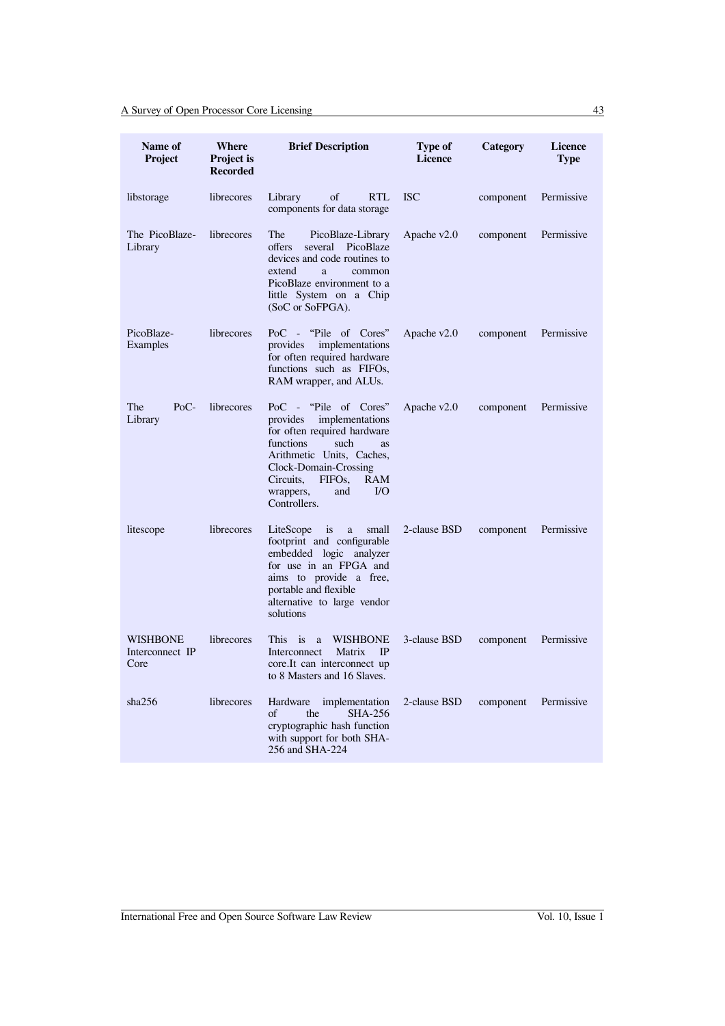| Name of<br>Project                         | Where<br><b>Project is</b><br><b>Recorded</b> | <b>Brief Description</b>                                                                                                                                                                                                                                            | Type of<br><b>Licence</b> | Category  | <b>Licence</b><br><b>Type</b> |
|--------------------------------------------|-----------------------------------------------|---------------------------------------------------------------------------------------------------------------------------------------------------------------------------------------------------------------------------------------------------------------------|---------------------------|-----------|-------------------------------|
| libstorage                                 | librecores                                    | Library<br>of<br><b>RTL</b><br>components for data storage                                                                                                                                                                                                          | <b>ISC</b>                | component | Permissive                    |
| The PicoBlaze-<br>Library                  | librecores                                    | The<br>PicoBlaze-Library<br>several PicoBlaze<br>offers<br>devices and code routines to<br>extend<br>a<br>common<br>PicoBlaze environment to a<br>little System on a Chip<br>(SoC or SoFPGA).                                                                       | Apache v2.0               | component | Permissive                    |
| PicoBlaze-<br>Examples                     | librecores                                    | PoC - "Pile of Cores"<br>implementations<br>provides<br>for often required hardware<br>functions such as FIFOs,<br>RAM wrapper, and ALUs.                                                                                                                           | Apache $v2.0$             | component | Permissive                    |
| The<br>$PoC$ -<br>Library                  | librecores                                    | PoC - "Pile of Cores"<br>implementations<br>provides<br>for often required hardware<br>functions<br>such<br>as<br>Arithmetic Units, Caches,<br>Clock-Domain-Crossing<br>FIFO <sub>s</sub> .<br><b>RAM</b><br>Circuits,<br>$IVO$<br>wrappers,<br>and<br>Controllers. | Apache v2.0               | component | Permissive                    |
| litescope                                  | librecores                                    | LiteScope<br>is<br>a<br>small<br>footprint and configurable<br>embedded logic analyzer<br>for use in an FPGA and<br>aims to provide a free,<br>portable and flexible<br>alternative to large vendor<br>solutions                                                    | 2-clause BSD              | component | Permissive                    |
| <b>WISHBONE</b><br>Interconnect IP<br>Core | librecores                                    | $\mathbf{1}$<br><b>WISHBONE</b><br><b>This</b><br>a<br>Matrix<br>IP<br>Interconnect<br>core. It can interconnect up<br>to 8 Masters and 16 Slaves.                                                                                                                  | 3-clause BSD              | component | Permissive                    |
| sha256                                     | librecores                                    | implementation<br>Hardware<br><b>SHA-256</b><br>of<br>the<br>cryptographic hash function<br>with support for both SHA-<br>256 and SHA-224                                                                                                                           | 2-clause BSD              | component | Permissive                    |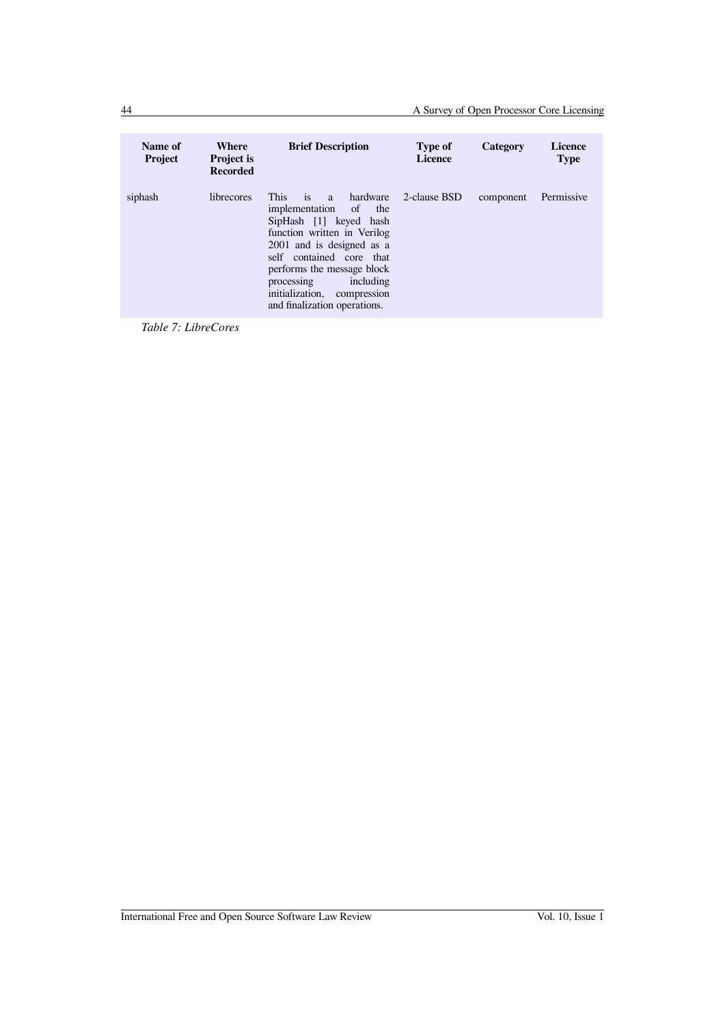| Name of<br><b>Project</b> | Where<br><b>Project is</b><br><b>Recorded</b> | <b>Brief Description</b>                                                                                                                                                                                                                                                                 | <b>Type of</b><br><b>Licence</b> | Category  | <b>Licence</b><br><b>Type</b> |
|---------------------------|-----------------------------------------------|------------------------------------------------------------------------------------------------------------------------------------------------------------------------------------------------------------------------------------------------------------------------------------------|----------------------------------|-----------|-------------------------------|
| siphash                   | librecores                                    | This is a hardware<br>implementation of<br>the<br>SipHash [1] keyed hash<br>function written in Verilog<br>2001 and is designed as a<br>self contained core that<br>performs the message block<br>including<br>processing<br>initialization, compression<br>and finalization operations. | 2-clause BSD                     | component | Permissive                    |

*Table 7: LibreCores*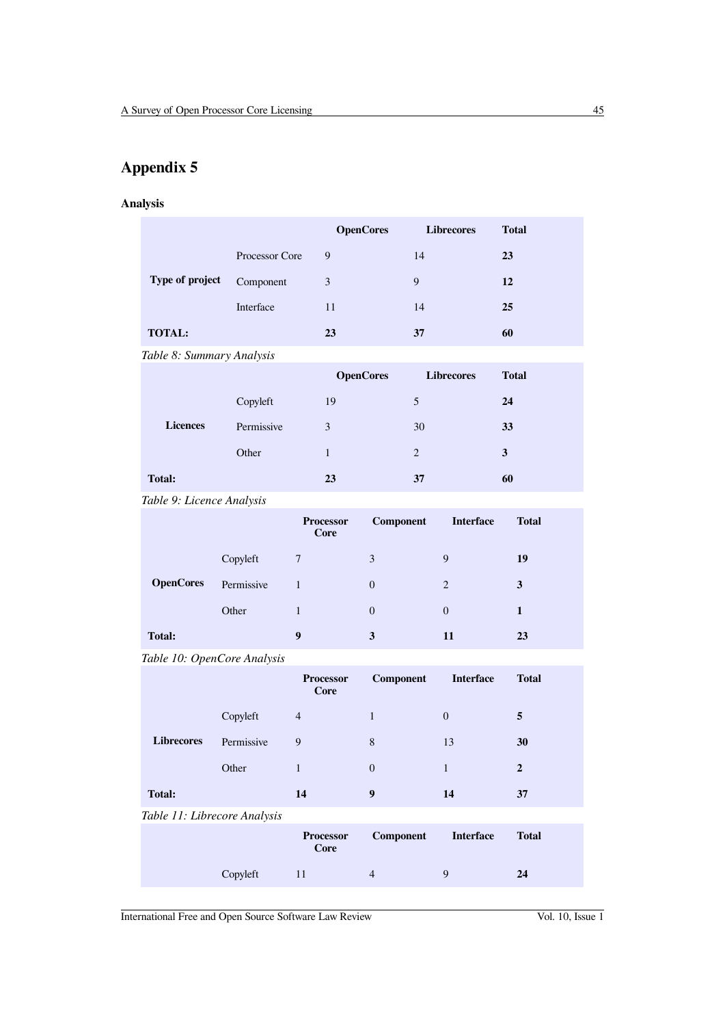# **Appendix 5**

## **Analysis**

|                 |                | <b>OpenCores</b> | <b>Librecores</b> | <b>Total</b> |
|-----------------|----------------|------------------|-------------------|--------------|
|                 | Processor Core | 9                | 14                | 23           |
| Type of project | Component      | 3                | 9                 | 12           |
|                 | Interface      | 11               | 14                | 25           |
| <b>TOTAL:</b>   |                | 23               | 37                | 60           |

*Table 8: Summary Analysis*

|                 |            | <b>OpenCores</b> | <b>Librecores</b> | <b>Total</b> |
|-----------------|------------|------------------|-------------------|--------------|
|                 | Copyleft   | 19               | 5                 | 24           |
| <b>Licences</b> | Permissive | 3                | 30                | 33           |
|                 | Other      |                  | $\overline{c}$    | 3            |
| <b>Total:</b>   |            | 23               | 37                | 60           |

## *Table 9: Licence Analysis*

|                  |            | <b>Processor</b><br>Core | Component | <b>Interface</b> | <b>Total</b> |
|------------------|------------|--------------------------|-----------|------------------|--------------|
|                  | Copyleft   | $\overline{7}$           | 3         | 9                | 19           |
| <b>OpenCores</b> | Permissive |                          | $\Omega$  | 2                | 3            |
|                  | Other      | ı                        | $\theta$  | $\overline{0}$   | 1            |
| <b>Total:</b>    |            | 9                        | 3         | 11               | 23           |

*Table 10: OpenCore Analysis*

|                              |            | <b>Processor</b><br>Core | Component        | <b>Interface</b> | <b>Total</b>   |
|------------------------------|------------|--------------------------|------------------|------------------|----------------|
|                              | Copyleft   | $\overline{4}$           | 1                | $\overline{0}$   | 5              |
| <b>Librecores</b>            | Permissive | 9                        | 8                | 13               | 30             |
|                              | Other      | $\mathbf{1}$             | $\overline{0}$   | 1                | $\overline{2}$ |
| <b>Total:</b>                |            | 14                       | $\boldsymbol{9}$ | 14               | 37             |
| Table 11: Librecore Analysis |            |                          |                  |                  |                |
|                              |            | <b>Processor</b><br>Core | Component        | <b>Interface</b> | <b>Total</b>   |
|                              | Copyleft   | 11                       | $\overline{4}$   | 9                | 24             |